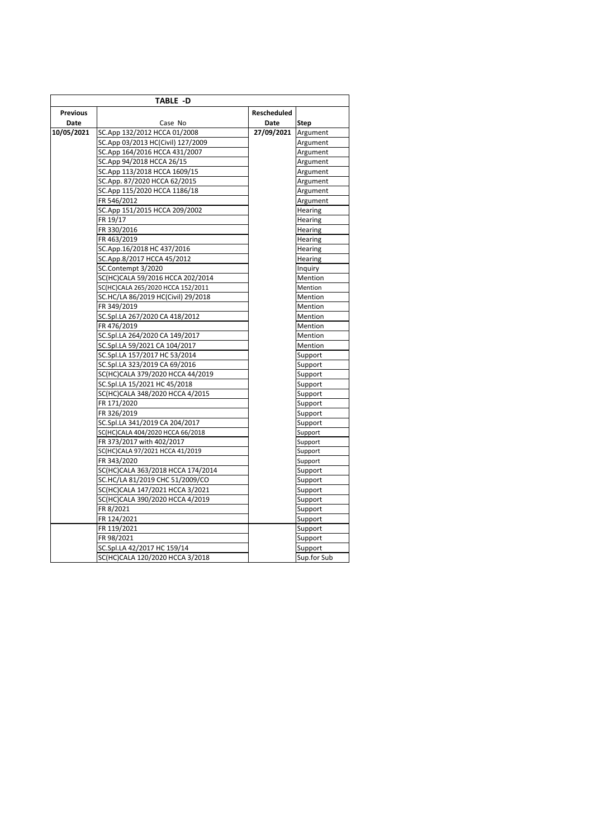|                 | TABLE -D                           |                    |             |
|-----------------|------------------------------------|--------------------|-------------|
| <b>Previous</b> |                                    | <b>Rescheduled</b> |             |
| Date            | Case No                            | Date               | Step        |
| 10/05/2021      | SC.App 132/2012 HCCA 01/2008       | 27/09/2021         | Argument    |
|                 | SC.App 03/2013 HC(Civil) 127/2009  |                    | Argument    |
|                 | SC.App 164/2016 HCCA 431/2007      |                    | Argument    |
|                 | SC.App 94/2018 HCCA 26/15          |                    | Argument    |
|                 | SC.App 113/2018 HCCA 1609/15       |                    | Argument    |
|                 | SC.App. 87/2020 HCCA 62/2015       |                    | Argument    |
|                 | SC.App 115/2020 HCCA 1186/18       |                    | Argument    |
|                 | FR 546/2012                        |                    | Argument    |
|                 | SC.App 151/2015 HCCA 209/2002      |                    | Hearing     |
|                 | FR 19/17                           |                    | Hearing     |
|                 | FR 330/2016                        |                    | Hearing     |
|                 | FR 463/2019                        |                    | Hearing     |
|                 | SC.App.16/2018 HC 437/2016         |                    | Hearing     |
|                 | SC.App.8/2017 HCCA 45/2012         |                    | Hearing     |
|                 | SC.Contempt 3/2020                 |                    | Inquiry     |
|                 | SC(HC)CALA 59/2016 HCCA 202/2014   |                    | Mention     |
|                 | SC(HC)CALA 265/2020 HCCA 152/2011  |                    | Mention     |
|                 | SC.HC/LA 86/2019 HC(Civil) 29/2018 |                    | Mention     |
|                 | FR 349/2019                        |                    | Mention     |
|                 | SC.Spl.LA 267/2020 CA 418/2012     |                    | Mention     |
|                 | FR 476/2019                        |                    | Mention     |
|                 | SC.Spl.LA 264/2020 CA 149/2017     |                    | Mention     |
|                 | SC.Spl.LA 59/2021 CA 104/2017      |                    | Mention     |
|                 | SC.Spl.LA 157/2017 HC 53/2014      |                    | Support     |
|                 | SC.Spl.LA 323/2019 CA 69/2016      |                    | Support     |
|                 | SC(HC)CALA 379/2020 HCCA 44/2019   |                    | Support     |
|                 | SC.Spl.LA 15/2021 HC 45/2018       |                    | Support     |
|                 | SC(HC)CALA 348/2020 HCCA 4/2015    |                    | Support     |
|                 | FR 171/2020                        |                    | Support     |
|                 | FR 326/2019                        |                    | Support     |
|                 | SC.Spl.LA 341/2019 CA 204/2017     |                    | Support     |
|                 | SC(HC)CALA 404/2020 HCCA 66/2018   |                    | Support     |
|                 | FR 373/2017 with 402/2017          |                    | Support     |
|                 | SC(HC)CALA 97/2021 HCCA 41/2019    |                    | Support     |
|                 | FR 343/2020                        |                    | Support     |
|                 | SC(HC)CALA 363/2018 HCCA 174/2014  |                    | Support     |
|                 | SC.HC/LA 81/2019 CHC 51/2009/CO    |                    | Support     |
|                 | SC(HC)CALA 147/2021 HCCA 3/2021    |                    | Support     |
|                 | SC(HC)CALA 390/2020 HCCA 4/2019    |                    | Support     |
|                 | FR 8/2021                          |                    | Support     |
|                 | FR 124/2021                        |                    | Support     |
|                 | FR 119/2021                        |                    | Support     |
|                 | FR 98/2021                         |                    | Support     |
|                 | SC.Spl.LA 42/2017 HC 159/14        |                    | Support     |
|                 | SC(HC)CALA 120/2020 HCCA 3/2018    |                    | Sup.for Sub |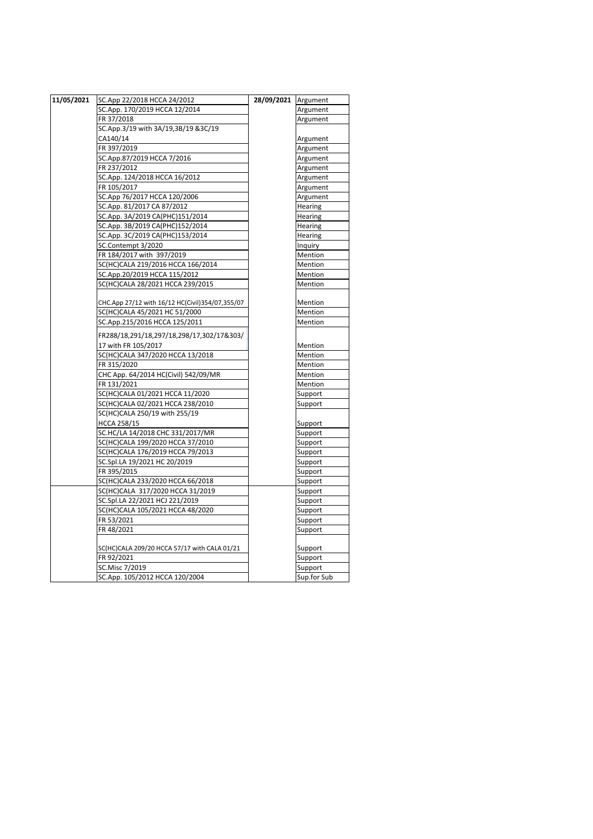| 11/05/2021 | SC.App 22/2018 HCCA 24/2012                     | 28/09/2021 | Argument    |
|------------|-------------------------------------------------|------------|-------------|
|            | SC.App. 170/2019 HCCA 12/2014                   |            | Argument    |
|            | FR 37/2018                                      |            | Argument    |
|            | SC.App.3/19 with 3A/19,3B/19 &3C/19             |            |             |
|            | CA140/14                                        |            | Argument    |
|            | FR 397/2019                                     |            | Argument    |
|            | SC.App.87/2019 HCCA 7/2016                      |            | Argument    |
|            | FR 237/2012                                     |            | Argument    |
|            | SC.App. 124/2018 HCCA 16/2012                   |            | Argument    |
|            | FR 105/2017                                     |            | Argument    |
|            | SC.App 76/2017 HCCA 120/2006                    |            | Argument    |
|            | SC.App. 81/2017 CA 87/2012                      |            | Hearing     |
|            | SC.App. 3A/2019 CA(PHC)151/2014                 |            | Hearing     |
|            | SC.App. 3B/2019 CA(PHC)152/2014                 |            | Hearing     |
|            | SC.App. 3C/2019 CA(PHC)153/2014                 |            | Hearing     |
|            | SC.Contempt 3/2020                              |            | Inquiry     |
|            | FR 184/2017 with 397/2019                       |            | Mention     |
|            | SC(HC)CALA 219/2016 HCCA 166/2014               |            | Mention     |
|            | SC.App.20/2019 HCCA 115/2012                    |            | Mention     |
|            | SC(HC)CALA 28/2021 HCCA 239/2015                |            | Mention     |
|            |                                                 |            |             |
|            | CHC.App 27/12 with 16/12 HC(Civil)354/07,355/07 |            | Mention     |
|            | SC(HC)CALA 45/2021 HC 51/2000                   |            | Mention     |
|            | SC.App.215/2016 HCCA 125/2011                   |            | Mention     |
|            | FR288/18,291/18,297/18,298/17,302/17&303/       |            |             |
|            | 17 with FR 105/2017                             |            | Mention     |
|            | SC(HC)CALA 347/2020 HCCA 13/2018                |            | Mention     |
|            | FR 315/2020                                     |            | Mention     |
|            | CHC App. 64/2014 HC(Civil) 542/09/MR            |            | Mention     |
|            | FR 131/2021                                     |            | Mention     |
|            | SC(HC)CALA 01/2021 HCCA 11/2020                 |            | Support     |
|            | SC(HC)CALA 02/2021 HCCA 238/2010                |            | Support     |
|            | SC(HC)CALA 250/19 with 255/19                   |            |             |
|            | <b>HCCA 258/15</b>                              |            | Support     |
|            | SC.HC/LA 14/2018 CHC 331/2017/MR                |            | Support     |
|            | SC(HC)CALA 199/2020 HCCA 37/2010                |            | Support     |
|            | SC(HC)CALA 176/2019 HCCA 79/2013                |            | Support     |
|            | SC.Spl.LA 19/2021 HC 20/2019                    |            | Support     |
|            | FR 395/2015                                     |            | Support     |
|            | SC(HC)CALA 233/2020 HCCA 66/2018                |            | Support     |
|            | SC(HC)CALA 317/2020 HCCA 31/2019                |            | Support     |
|            | SC.Spl.LA 22/2021 HCJ 221/2019                  |            | Support     |
|            | SC(HC)CALA 105/2021 HCCA 48/2020                |            | Support     |
|            | FR 53/2021                                      |            | Support     |
|            | FR 48/2021                                      |            | Support     |
|            |                                                 |            |             |
|            | SC(HC)CALA 209/20 HCCA 57/17 with CALA 01/21    |            | Support     |
|            | FR 92/2021                                      |            | Support     |
|            | SC.Misc 7/2019                                  |            | Support     |
|            | SC.App. 105/2012 HCCA 120/2004                  |            | Sup.for Sub |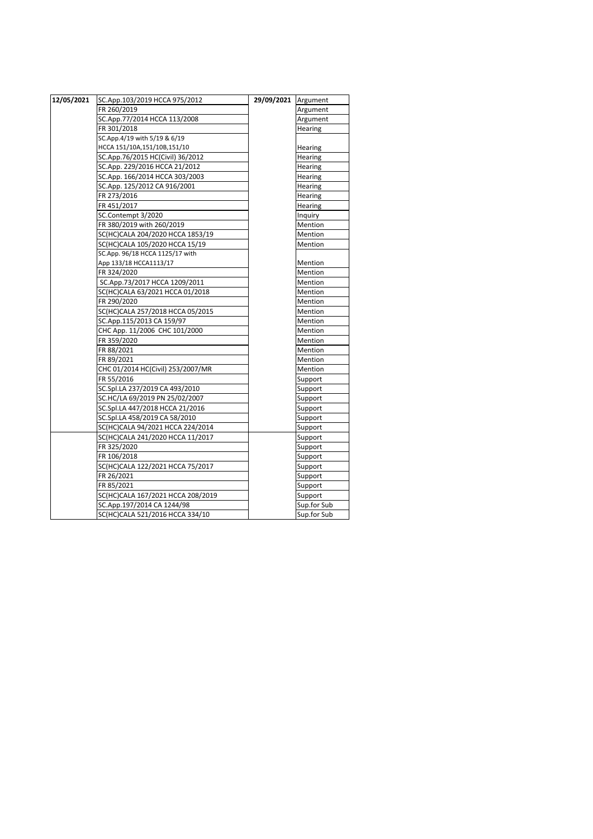| 12/05/2021 | SC.App.103/2019 HCCA 975/2012     | 29/09/2021 Argument |             |
|------------|-----------------------------------|---------------------|-------------|
|            | FR 260/2019                       |                     | Argument    |
|            | SC.App.77/2014 HCCA 113/2008      |                     | Argument    |
|            | FR 301/2018                       |                     | Hearing     |
|            | SC.App.4/19 with 5/19 & 6/19      |                     |             |
|            | HCCA 151/10A,151/10B,151/10       |                     | Hearing     |
|            | SC.App.76/2015 HC(Civil) 36/2012  |                     | Hearing     |
|            | SC.App. 229/2016 HCCA 21/2012     |                     | Hearing     |
|            | SC.App. 166/2014 HCCA 303/2003    |                     | Hearing     |
|            | SC.App. 125/2012 CA 916/2001      |                     | Hearing     |
|            | FR 273/2016                       |                     | Hearing     |
|            | FR 451/2017                       |                     | Hearing     |
|            | SC.Contempt 3/2020                |                     | Inquiry     |
|            | FR 380/2019 with 260/2019         |                     | Mention     |
|            | SC(HC)CALA 204/2020 HCCA 1853/19  |                     | Mention     |
|            | SC(HC)CALA 105/2020 HCCA 15/19    |                     | Mention     |
|            | SC.App. 96/18 HCCA 1125/17 with   |                     |             |
|            | App 133/18 HCCA1113/17            |                     | Mention     |
|            | FR 324/2020                       |                     | Mention     |
|            | SC.App.73/2017 HCCA 1209/2011     |                     | Mention     |
|            | SC(HC)CALA 63/2021 HCCA 01/2018   |                     | Mention     |
|            | FR 290/2020                       |                     | Mention     |
|            | SC(HC)CALA 257/2018 HCCA 05/2015  |                     | Mention     |
|            | SC.App.115/2013 CA 159/97         |                     | Mention     |
|            | CHC App. 11/2006 CHC 101/2000     |                     | Mention     |
|            | FR 359/2020                       |                     | Mention     |
|            | FR 88/2021                        |                     | Mention     |
|            | FR 89/2021                        |                     | Mention     |
|            | CHC 01/2014 HC(Civil) 253/2007/MR |                     | Mention     |
|            | FR 55/2016                        |                     | Support     |
|            | SC.Spl.LA 237/2019 CA 493/2010    |                     | Support     |
|            | SC.HC/LA 69/2019 PN 25/02/2007    |                     | Support     |
|            | SC.Spl.LA 447/2018 HCCA 21/2016   |                     | Support     |
|            | SC.Spl.LA 458/2019 CA 58/2010     |                     | Support     |
|            | SC(HC)CALA 94/2021 HCCA 224/2014  |                     | Support     |
|            | SC(HC)CALA 241/2020 HCCA 11/2017  |                     | Support     |
|            | FR 325/2020                       |                     | Support     |
|            | FR 106/2018                       |                     | Support     |
|            | SC(HC)CALA 122/2021 HCCA 75/2017  |                     | Support     |
|            | FR 26/2021                        |                     | Support     |
|            | FR 85/2021                        |                     | Support     |
|            | SC(HC)CALA 167/2021 HCCA 208/2019 |                     | Support     |
|            | SC.App.197/2014 CA 1244/98        |                     | Sup.for Sub |
|            | SC(HC)CALA 521/2016 HCCA 334/10   |                     | Sup.for Sub |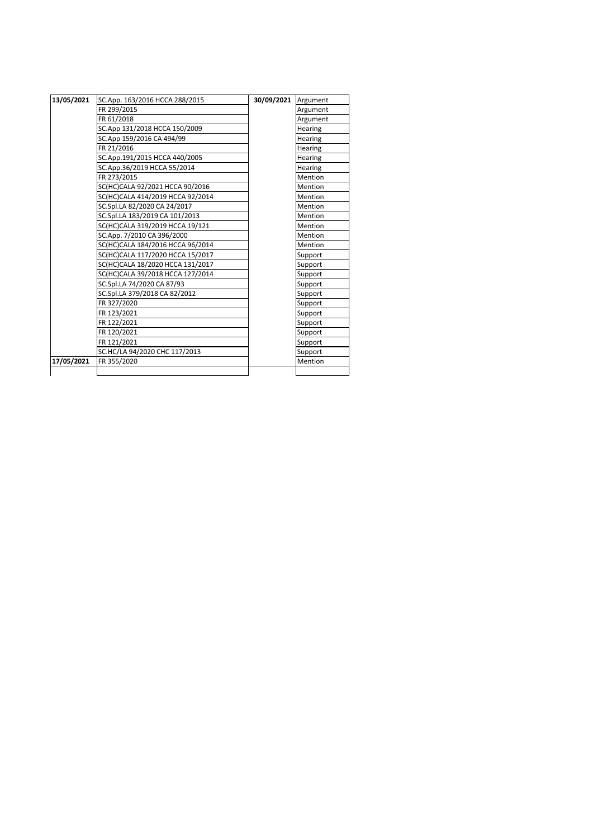| 13/05/2021 | SC.App. 163/2016 HCCA 288/2015   | 30/09/2021 Argument |                |
|------------|----------------------------------|---------------------|----------------|
|            | FR 299/2015                      |                     | Argument       |
|            | FR 61/2018                       |                     | Argument       |
|            | SC.App 131/2018 HCCA 150/2009    |                     | <b>Hearing</b> |
|            | SC.App 159/2016 CA 494/99        |                     | Hearing        |
|            | FR 21/2016                       |                     | <b>Hearing</b> |
|            | SC.App.191/2015 HCCA 440/2005    |                     | Hearing        |
|            | SC.App.36/2019 HCCA 55/2014      |                     | <b>Hearing</b> |
|            | FR 273/2015                      |                     | Mention        |
|            | SC(HC)CALA 92/2021 HCCA 90/2016  |                     | Mention        |
|            | SC(HC)CALA 414/2019 HCCA 92/2014 |                     | Mention        |
|            | SC.Spl.LA 82/2020 CA 24/2017     |                     | Mention        |
|            | SC.Spl.LA 183/2019 CA 101/2013   |                     | Mention        |
|            | SC(HC)CALA 319/2019 HCCA 19/121  |                     | Mention        |
|            | SC.App. 7/2010 CA 396/2000       |                     | Mention        |
|            | SC(HC)CALA 184/2016 HCCA 96/2014 |                     | Mention        |
|            | SC(HC)CALA 117/2020 HCCA 15/2017 |                     | Support        |
|            | SC(HC)CALA 18/2020 HCCA 131/2017 |                     | Support        |
|            | SC(HC)CALA 39/2018 HCCA 127/2014 |                     | Support        |
|            | SC.Spl.LA 74/2020 CA 87/93       |                     | Support        |
|            | SC.Spl.LA 379/2018 CA 82/2012    |                     | Support        |
|            | FR 327/2020                      |                     | Support        |
|            | FR 123/2021                      |                     | Support        |
|            | FR 122/2021                      |                     | Support        |
|            | FR 120/2021                      |                     | Support        |
|            | FR 121/2021                      |                     | Support        |
|            | SC.HC/LA 94/2020 CHC 117/2013    |                     | Support        |
| 17/05/2021 | FR 355/2020                      |                     | Mention        |
|            |                                  |                     |                |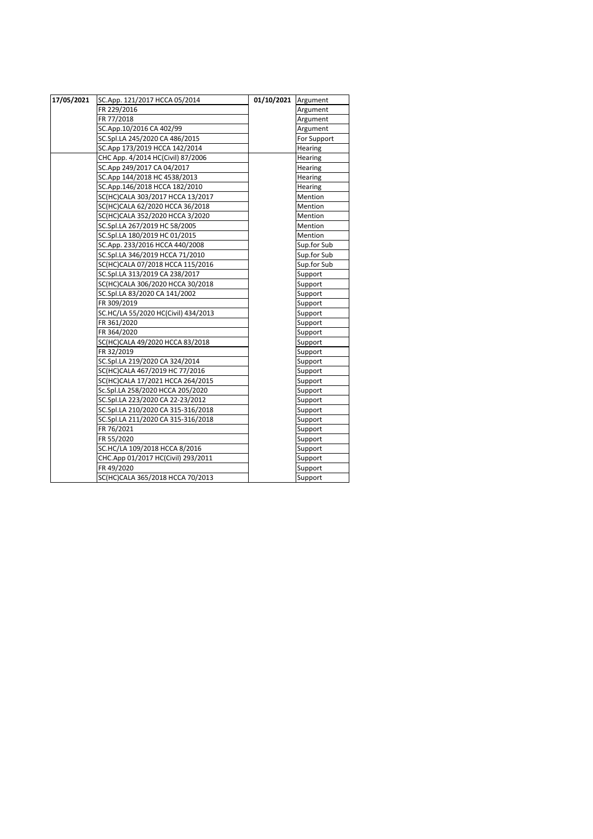| 17/05/2021 | SC.App. 121/2017 HCCA 05/2014       | 01/10/2021 Argument |                |
|------------|-------------------------------------|---------------------|----------------|
|            | FR 229/2016                         |                     | Argument       |
|            | FR 77/2018                          |                     | Argument       |
|            | SC.App.10/2016 CA 402/99            |                     | Argument       |
|            | SC.Spl.LA 245/2020 CA 486/2015      |                     | For Support    |
|            | SC.App 173/2019 HCCA 142/2014       |                     | Hearing        |
|            | CHC App. 4/2014 HC(Civil) 87/2006   |                     | Hearing        |
|            | SC.App 249/2017 CA 04/2017          |                     | <b>Hearing</b> |
|            | SC.App 144/2018 HC 4538/2013        |                     | <b>Hearing</b> |
|            | SC.App.146/2018 HCCA 182/2010       |                     | Hearing        |
|            | SC(HC)CALA 303/2017 HCCA 13/2017    |                     | Mention        |
|            | SC(HC)CALA 62/2020 HCCA 36/2018     |                     | Mention        |
|            | SC(HC)CALA 352/2020 HCCA 3/2020     |                     | Mention        |
|            | SC.Spl.LA 267/2019 HC 58/2005       |                     | Mention        |
|            | SC.Spl.LA 180/2019 HC 01/2015       |                     | <b>Mention</b> |
|            | SC.App. 233/2016 HCCA 440/2008      |                     | Sup.for Sub    |
|            | SC.Spl.LA 346/2019 HCCA 71/2010     |                     | Sup.for Sub    |
|            | SC(HC)CALA 07/2018 HCCA 115/2016    |                     | Sup.for Sub    |
|            | SC.Spl.LA 313/2019 CA 238/2017      |                     | Support        |
|            | SC(HC)CALA 306/2020 HCCA 30/2018    |                     | Support        |
|            | SC.Spl.LA 83/2020 CA 141/2002       |                     | Support        |
|            | FR 309/2019                         |                     | Support        |
|            | SC.HC/LA 55/2020 HC(Civil) 434/2013 |                     | Support        |
|            | FR 361/2020                         |                     | Support        |
|            | FR 364/2020                         |                     | Support        |
|            | SC(HC)CALA 49/2020 HCCA 83/2018     |                     | Support        |
|            | FR 32/2019                          |                     | Support        |
|            | SC.Spl.LA 219/2020 CA 324/2014      |                     | Support        |
|            | SC(HC)CALA 467/2019 HC 77/2016      |                     | Support        |
|            | SC(HC)CALA 17/2021 HCCA 264/2015    |                     | Support        |
|            | Sc.Spl.LA 258/2020 HCCA 205/2020    |                     | Support        |
|            | SC.Spl.LA 223/2020 CA 22-23/2012    |                     | Support        |
|            | SC.Spl.LA 210/2020 CA 315-316/2018  |                     | Support        |
|            | SC.Spl.LA 211/2020 CA 315-316/2018  |                     | Support        |
|            | FR 76/2021                          |                     | Support        |
|            | FR 55/2020                          |                     | Support        |
|            | SC.HC/LA 109/2018 HCCA 8/2016       |                     | Support        |
|            | CHC.App 01/2017 HC(Civil) 293/2011  |                     | Support        |
|            | FR 49/2020                          |                     | Support        |
|            | SC(HC)CALA 365/2018 HCCA 70/2013    |                     | Support        |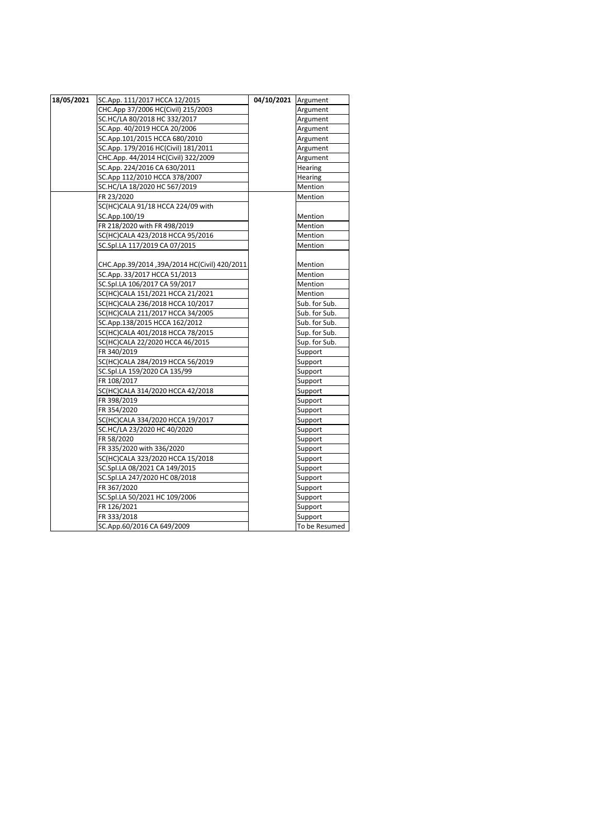| 18/05/2021 | SC.App. 111/2017 HCCA 12/2015                | 04/10/2021 Argument |               |
|------------|----------------------------------------------|---------------------|---------------|
|            | CHC.App 37/2006 HC(Civil) 215/2003           |                     | Argument      |
|            | SC.HC/LA 80/2018 HC 332/2017                 |                     | Argument      |
|            | SC.App. 40/2019 HCCA 20/2006                 |                     | Argument      |
|            | SC.App.101/2015 HCCA 680/2010                |                     | Argument      |
|            | SC.App. 179/2016 HC(Civil) 181/2011          |                     | Argument      |
|            | CHC.App. 44/2014 HC(Civil) 322/2009          |                     | Argument      |
|            | SC.App. 224/2016 CA 630/2011                 |                     | Hearing       |
|            | SC.App 112/2010 HCCA 378/2007                |                     | Hearing       |
|            | SC.HC/LA 18/2020 HC 567/2019                 |                     | Mention       |
|            | FR 23/2020                                   |                     | Mention       |
|            | SC(HC)CALA 91/18 HCCA 224/09 with            |                     |               |
|            | SC.App.100/19                                |                     | Mention       |
|            | FR 218/2020 with FR 498/2019                 |                     | Mention       |
|            | SC(HC)CALA 423/2018 HCCA 95/2016             |                     | Mention       |
|            | SC.Spl.LA 117/2019 CA 07/2015                |                     | Mention       |
|            |                                              |                     |               |
|            | CHC.App.39/2014 ,39A/2014 HC(Civil) 420/2011 |                     | Mention       |
|            | SC.App. 33/2017 HCCA 51/2013                 |                     | Mention       |
|            | SC.Spl.LA 106/2017 CA 59/2017                |                     | Mention       |
|            | SC(HC)CALA 151/2021 HCCA 21/2021             |                     | Mention       |
|            | SC(HC)CALA 236/2018 HCCA 10/2017             |                     | Sub. for Sub. |
|            | SC(HC)CALA 211/2017 HCCA 34/2005             |                     | Sub. for Sub. |
|            | SC.App.138/2015 HCCA 162/2012                |                     | Sub. for Sub. |
|            | SC(HC)CALA 401/2018 HCCA 78/2015             |                     | Sup. for Sub. |
|            | SC(HC)CALA 22/2020 HCCA 46/2015              |                     | Sup. for Sub. |
|            | FR 340/2019                                  |                     | Support       |
|            | SC(HC)CALA 284/2019 HCCA 56/2019             |                     | Support       |
|            | SC.Spl.LA 159/2020 CA 135/99                 |                     | Support       |
|            | FR 108/2017                                  |                     | Support       |
|            | SC(HC)CALA 314/2020 HCCA 42/2018             |                     | Support       |
|            | FR 398/2019                                  |                     | Support       |
|            | FR 354/2020                                  |                     | Support       |
|            | SC(HC)CALA 334/2020 HCCA 19/2017             |                     | Support       |
|            | SC.HC/LA 23/2020 HC 40/2020                  |                     | Support       |
|            | FR 58/2020                                   |                     | Support       |
|            | FR 335/2020 with 336/2020                    |                     | Support       |
|            | SC(HC)CALA 323/2020 HCCA 15/2018             |                     | Support       |
|            | SC.Spl.LA 08/2021 CA 149/2015                |                     | Support       |
|            | SC.Spl.LA 247/2020 HC 08/2018                |                     | Support       |
|            | FR 367/2020                                  |                     | Support       |
|            | SC.Spl.LA 50/2021 HC 109/2006                |                     | Support       |
|            | FR 126/2021                                  |                     | Support       |
|            | FR 333/2018                                  |                     | Support       |
|            | SC.App.60/2016 CA 649/2009                   |                     | To be Resumed |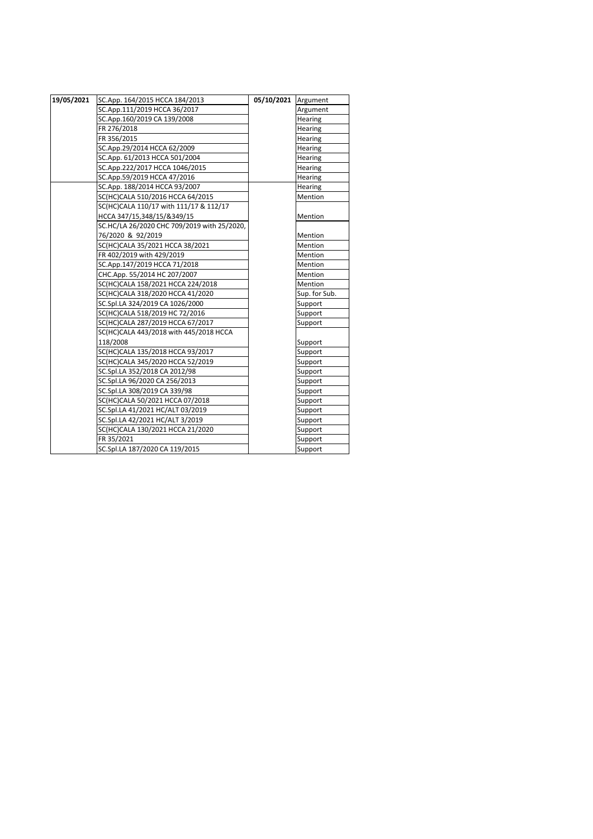| 19/05/2021 | SC.App. 164/2015 HCCA 184/2013              | 05/10/2021 Argument |               |
|------------|---------------------------------------------|---------------------|---------------|
|            | SC.App.111/2019 HCCA 36/2017                |                     | Argument      |
|            | SC.App.160/2019 CA 139/2008                 |                     | Hearing       |
|            | FR 276/2018                                 |                     | Hearing       |
|            | FR 356/2015                                 |                     | Hearing       |
|            | SC.App.29/2014 HCCA 62/2009                 |                     | Hearing       |
|            | SC.App. 61/2013 HCCA 501/2004               |                     | Hearing       |
|            | SC.App.222/2017 HCCA 1046/2015              |                     | Hearing       |
|            | SC.App.59/2019 HCCA 47/2016                 |                     | Hearing       |
|            | SC.App. 188/2014 HCCA 93/2007               |                     | Hearing       |
|            | SC(HC)CALA 510/2016 HCCA 64/2015            |                     | Mention       |
|            | SC(HC)CALA 110/17 with 111/17 & 112/17      |                     |               |
|            | HCCA 347/15,348/15/&349/15                  |                     | Mention       |
|            | SC.HC/LA 26/2020 CHC 709/2019 with 25/2020, |                     |               |
|            | 76/2020 & 92/2019                           |                     | Mention       |
|            | SC(HC)CALA 35/2021 HCCA 38/2021             |                     | Mention       |
|            | FR 402/2019 with 429/2019                   |                     | Mention       |
|            | SC.App.147/2019 HCCA 71/2018                |                     | Mention       |
|            | CHC.App. 55/2014 HC 207/2007                |                     | Mention       |
|            | SC(HC)CALA 158/2021 HCCA 224/2018           |                     | Mention       |
|            | SC(HC)CALA 318/2020 HCCA 41/2020            |                     | Sup. for Sub. |
|            | SC.Spl.LA 324/2019 CA 1026/2000             |                     | Support       |
|            | SC(HC)CALA 518/2019 HC 72/2016              |                     | Support       |
|            | SC(HC)CALA 287/2019 HCCA 67/2017            |                     | Support       |
|            | SC(HC)CALA 443/2018 with 445/2018 HCCA      |                     |               |
|            | 118/2008                                    |                     | Support       |
|            | SC(HC)CALA 135/2018 HCCA 93/2017            |                     | Support       |
|            | SC(HC)CALA 345/2020 HCCA 52/2019            |                     | Support       |
|            | SC.Spl.LA 352/2018 CA 2012/98               |                     | Support       |
|            | SC.Spl.LA 96/2020 CA 256/2013               |                     | Support       |
|            | SC.Spl.LA 308/2019 CA 339/98                |                     | Support       |
|            | SC(HC)CALA 50/2021 HCCA 07/2018             |                     | Support       |
|            | SC.Spl.LA 41/2021 HC/ALT 03/2019            |                     | Support       |
|            | SC.Spl.LA 42/2021 HC/ALT 3/2019             |                     | Support       |
|            | SC(HC)CALA 130/2021 HCCA 21/2020            |                     | Support       |
|            | FR 35/2021                                  |                     | Support       |
|            | SC.Spl.LA 187/2020 CA 119/2015              |                     | Support       |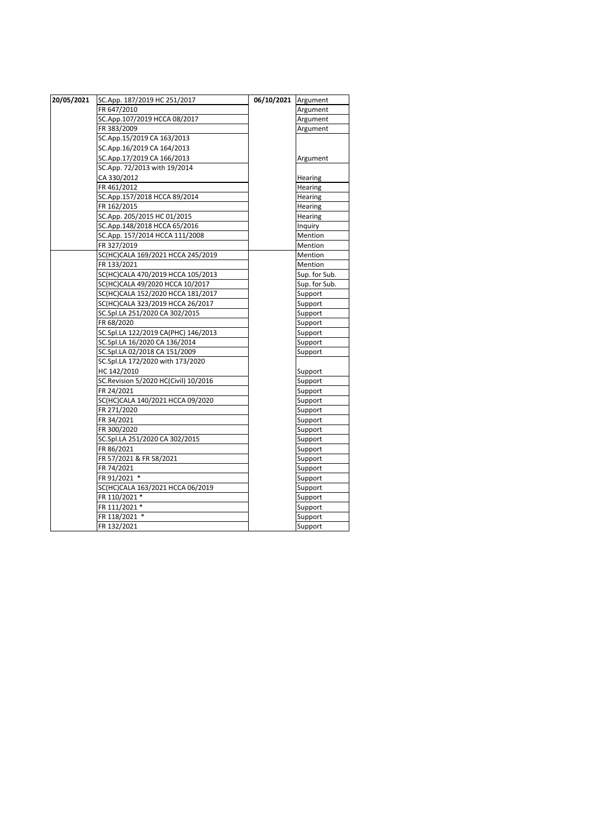| 20/05/2021 | SC.App. 187/2019 HC 251/2017         | 06/10/2021 Argument |               |
|------------|--------------------------------------|---------------------|---------------|
|            | FR 647/2010                          |                     | Argument      |
|            | SC.App.107/2019 HCCA 08/2017         |                     | Argument      |
|            | FR 383/2009                          |                     | Argument      |
|            | SC.App.15/2019 CA 163/2013           |                     |               |
|            | SC.App.16/2019 CA 164/2013           |                     |               |
|            | SC.App.17/2019 CA 166/2013           |                     | Argument      |
|            | SC.App. 72/2013 with 19/2014         |                     |               |
|            | CA 330/2012                          |                     | Hearing       |
|            | FR 461/2012                          |                     | Hearing       |
|            | SC.App.157/2018 HCCA 89/2014         |                     | Hearing       |
|            | FR 162/2015                          |                     | Hearing       |
|            | SC.App. 205/2015 HC 01/2015          |                     | Hearing       |
|            | SC.App.148/2018 HCCA 65/2016         |                     | Inquiry       |
|            | SC.App. 157/2014 HCCA 111/2008       |                     | Mention       |
|            | FR 327/2019                          |                     | Mention       |
|            | SC(HC)CALA 169/2021 HCCA 245/2019    |                     | Mention       |
|            | FR 133/2021                          |                     | Mention       |
|            | SC(HC)CALA 470/2019 HCCA 105/2013    |                     | Sup. for Sub. |
|            | SC(HC)CALA 49/2020 HCCA 10/2017      |                     | Sup. for Sub. |
|            | SC(HC)CALA 152/2020 HCCA 181/2017    |                     | Support       |
|            | SC(HC)CALA 323/2019 HCCA 26/2017     |                     | Support       |
|            | SC.Spl.LA 251/2020 CA 302/2015       |                     | Support       |
|            | FR 68/2020                           |                     | Support       |
|            | SC.Spl.LA 122/2019 CA(PHC) 146/2013  |                     | Support       |
|            | SC.Spl.LA 16/2020 CA 136/2014        |                     | Support       |
|            | SC.Spl.LA 02/2018 CA 151/2009        |                     | Support       |
|            | SC.Spl.LA 172/2020 with 173/2020     |                     |               |
|            | HC 142/2010                          |                     | Support       |
|            | SC.Revision 5/2020 HC(Civil) 10/2016 |                     | Support       |
|            | FR 24/2021                           |                     | Support       |
|            | SC(HC)CALA 140/2021 HCCA 09/2020     |                     | Support       |
|            | FR 271/2020                          |                     | Support       |
|            | FR 34/2021                           |                     | Support       |
|            | FR 300/2020                          |                     | Support       |
|            | SC.Spl.LA 251/2020 CA 302/2015       |                     | Support       |
|            | FR 86/2021                           |                     | Support       |
|            | FR 57/2021 & FR 58/2021              |                     | Support       |
|            | FR 74/2021                           |                     | Support       |
|            | FR 91/2021 *                         |                     | Support       |
|            | SC(HC)CALA 163/2021 HCCA 06/2019     |                     | Support       |
|            | FR 110/2021 *                        |                     | Support       |
|            | FR 111/2021 *                        |                     | Support       |
|            | FR 118/2021 *                        |                     | Support       |
|            | FR 132/2021                          |                     | Support       |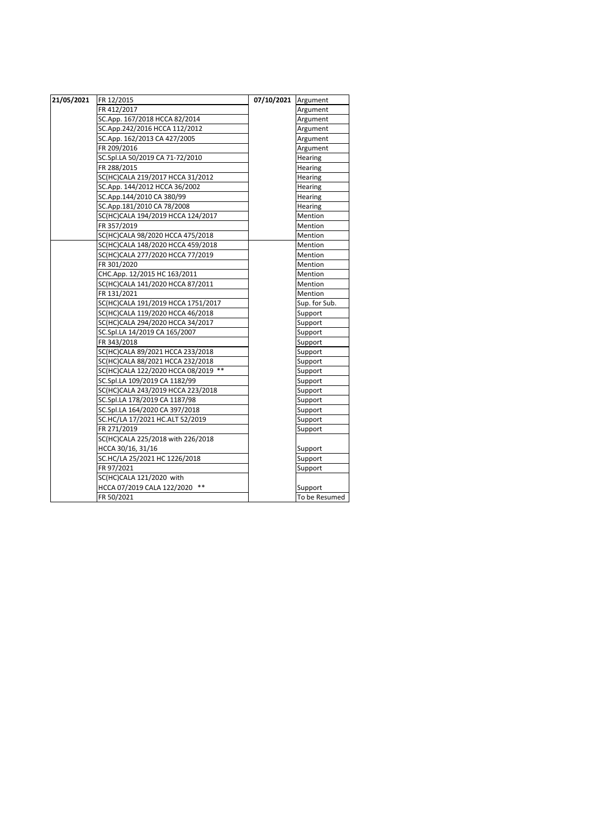| 21/05/2021 | FR 12/2015                          | 07/10/2021 Argument |                |
|------------|-------------------------------------|---------------------|----------------|
|            | FR 412/2017                         |                     | Argument       |
|            | SC.App. 167/2018 HCCA 82/2014       |                     | Argument       |
|            | SC.App.242/2016 HCCA 112/2012       |                     | Argument       |
|            | SC.App. 162/2013 CA 427/2005        |                     | Argument       |
|            | FR 209/2016                         |                     | Argument       |
|            | SC.Spl.LA 50/2019 CA 71-72/2010     |                     | Hearing        |
|            | FR 288/2015                         |                     | Hearing        |
|            | SC(HC)CALA 219/2017 HCCA 31/2012    |                     | Hearing        |
|            | SC.App. 144/2012 HCCA 36/2002       |                     | Hearing        |
|            | SC.App.144/2010 CA 380/99           |                     | Hearing        |
|            | SC.App.181/2010 CA 78/2008          |                     | Hearing        |
|            | SC(HC)CALA 194/2019 HCCA 124/2017   |                     | Mention        |
|            | FR 357/2019                         |                     | <b>Mention</b> |
|            | SC(HC)CALA 98/2020 HCCA 475/2018    |                     | Mention        |
|            | SC(HC)CALA 148/2020 HCCA 459/2018   |                     | Mention        |
|            | SC(HC)CALA 277/2020 HCCA 77/2019    |                     | Mention        |
|            | FR 301/2020                         |                     | Mention        |
|            | CHC.App. 12/2015 HC 163/2011        |                     | Mention        |
|            | SC(HC)CALA 141/2020 HCCA 87/2011    |                     | Mention        |
|            | FR 131/2021                         |                     | Mention        |
|            | SC(HC)CALA 191/2019 HCCA 1751/2017  |                     | Sup. for Sub.  |
|            | SC(HC)CALA 119/2020 HCCA 46/2018    |                     | Support        |
|            | SC(HC)CALA 294/2020 HCCA 34/2017    |                     | Support        |
|            | SC.Spl.LA 14/2019 CA 165/2007       |                     | Support        |
|            | FR 343/2018                         |                     | Support        |
|            | SC(HC)CALA 89/2021 HCCA 233/2018    |                     | Support        |
|            | SC(HC)CALA 88/2021 HCCA 232/2018    |                     | Support        |
|            | SC(HC)CALA 122/2020 HCCA 08/2019 ** |                     | Support        |
|            | SC.Spl.LA 109/2019 CA 1182/99       |                     | Support        |
|            | SC(HC)CALA 243/2019 HCCA 223/2018   |                     | Support        |
|            | SC.Spl.LA 178/2019 CA 1187/98       |                     | Support        |
|            | SC.Spl.LA 164/2020 CA 397/2018      |                     | Support        |
|            | SC.HC/LA 17/2021 HC.ALT 52/2019     |                     | Support        |
|            | FR 271/2019                         |                     | Support        |
|            | SC(HC)CALA 225/2018 with 226/2018   |                     |                |
|            | HCCA 30/16, 31/16                   |                     | Support        |
|            | SC.HC/LA 25/2021 HC 1226/2018       |                     | Support        |
|            | FR 97/2021                          |                     | Support        |
|            | SC(HC)CALA 121/2020 with            |                     |                |
|            | $***$<br>HCCA 07/2019 CALA 122/2020 |                     | Support        |
|            | FR 50/2021                          |                     | To be Resumed  |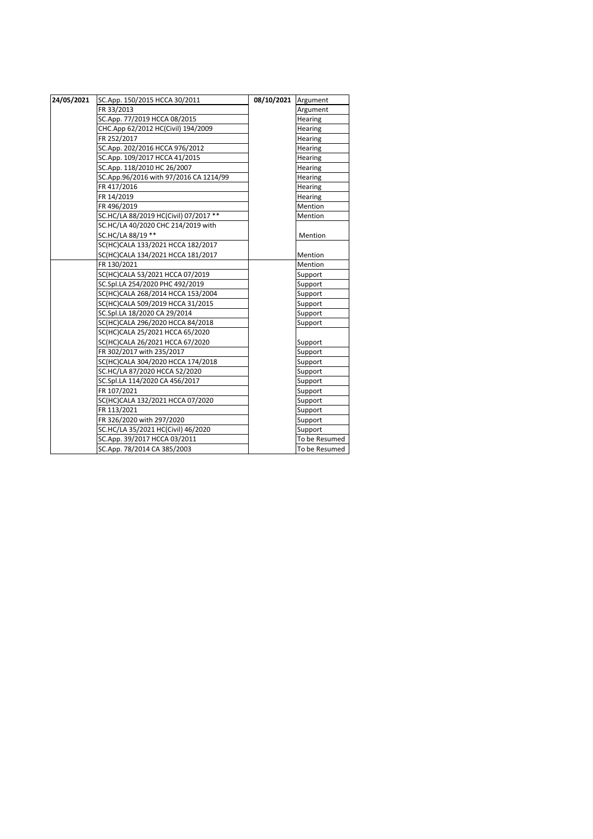| 24/05/2021 | SC.App. 150/2015 HCCA 30/2011          | 08/10/2021 | Argument       |
|------------|----------------------------------------|------------|----------------|
|            | FR 33/2013                             |            | Argument       |
|            | SC.App. 77/2019 HCCA 08/2015           |            | Hearing        |
|            | CHC.App 62/2012 HC(Civil) 194/2009     |            | Hearing        |
|            | FR 252/2017                            |            | Hearing        |
|            | SC.App. 202/2016 HCCA 976/2012         |            | Hearing        |
|            | SC.App. 109/2017 HCCA 41/2015          |            | Hearing        |
|            | SC.App. 118/2010 HC 26/2007            |            | Hearing        |
|            | SC.App.96/2016 with 97/2016 CA 1214/99 |            | <b>Hearing</b> |
|            | FR 417/2016                            |            | Hearing        |
|            | FR 14/2019                             |            | Hearing        |
|            | FR 496/2019                            |            | Mention        |
|            | SC.HC/LA 88/2019 HC(Civil) 07/2017 **  |            | Mention        |
|            | SC.HC/LA 40/2020 CHC 214/2019 with     |            |                |
|            | SC.HC/LA 88/19 **                      |            | Mention        |
|            | SC(HC)CALA 133/2021 HCCA 182/2017      |            |                |
|            | SC(HC)CALA 134/2021 HCCA 181/2017      |            | Mention        |
|            | FR 130/2021                            |            | Mention        |
|            | SC(HC)CALA 53/2021 HCCA 07/2019        |            | Support        |
|            | SC.Spl.LA 254/2020 PHC 492/2019        |            | Support        |
|            | SC(HC)CALA 268/2014 HCCA 153/2004      |            | Support        |
|            | SC(HC)CALA 509/2019 HCCA 31/2015       |            | Support        |
|            | SC.Spl.LA 18/2020 CA 29/2014           |            | Support        |
|            | SC(HC)CALA 296/2020 HCCA 84/2018       |            | Support        |
|            | SC(HC)CALA 25/2021 HCCA 65/2020        |            |                |
|            | SC(HC)CALA 26/2021 HCCA 67/2020        |            | Support        |
|            | FR 302/2017 with 235/2017              |            | Support        |
|            | SC(HC)CALA 304/2020 HCCA 174/2018      |            | Support        |
|            | SC.HC/LA 87/2020 HCCA 52/2020          |            | Support        |
|            | SC.Spl.LA 114/2020 CA 456/2017         |            | Support        |
|            | FR 107/2021                            |            | Support        |
|            | SC(HC)CALA 132/2021 HCCA 07/2020       |            | Support        |
|            | FR 113/2021                            |            | Support        |
|            | FR 326/2020 with 297/2020              |            | Support        |
|            | SC.HC/LA 35/2021 HC(Civil) 46/2020     |            | Support        |
|            | SC.App. 39/2017 HCCA 03/2011           |            | To be Resumed  |
|            | SC.App. 78/2014 CA 385/2003            |            | To be Resumed  |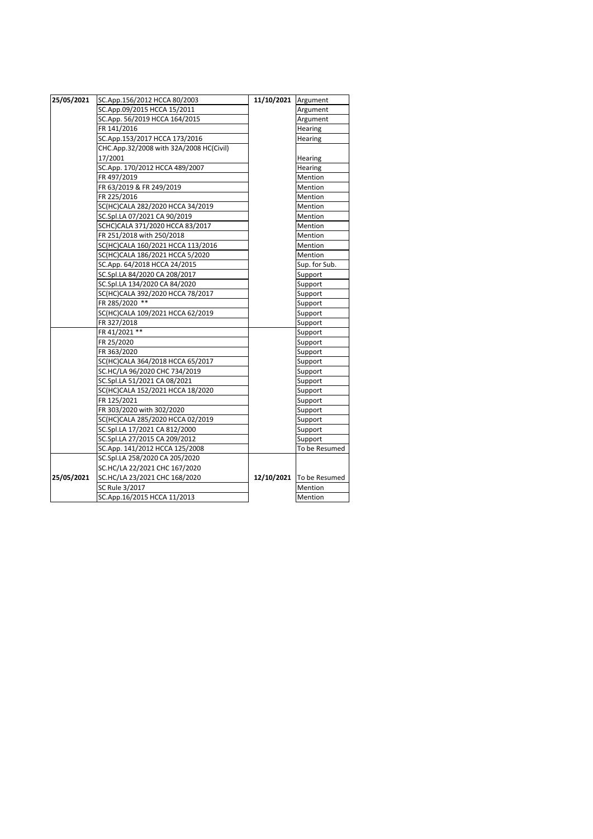| 25/05/2021 | SC.App.156/2012 HCCA 80/2003            | 11/10/2021 Argument |                |
|------------|-----------------------------------------|---------------------|----------------|
|            | SC.App.09/2015 HCCA 15/2011             |                     | Argument       |
|            | SC.App. 56/2019 HCCA 164/2015           |                     | Argument       |
|            | FR 141/2016                             |                     | Hearing        |
|            | SC.App.153/2017 HCCA 173/2016           |                     | <b>Hearing</b> |
|            | CHC.App.32/2008 with 32A/2008 HC(Civil) |                     |                |
|            | 17/2001                                 |                     | Hearing        |
|            | SC.App. 170/2012 HCCA 489/2007          |                     | Hearing        |
|            | FR 497/2019                             |                     | <b>Mention</b> |
|            | FR 63/2019 & FR 249/2019                |                     | Mention        |
|            | FR 225/2016                             |                     | Mention        |
|            | SC(HC)CALA 282/2020 HCCA 34/2019        |                     | <b>Mention</b> |
|            | SC.Spl.LA 07/2021 CA 90/2019            |                     | Mention        |
|            | SCHC)CALA 371/2020 HCCA 83/2017         |                     | <b>Mention</b> |
|            | FR 251/2018 with 250/2018               |                     | Mention        |
|            | SC(HC)CALA 160/2021 HCCA 113/2016       |                     | <b>Mention</b> |
|            | SC(HC)CALA 186/2021 HCCA 5/2020         |                     | Mention        |
|            | SC.App. 64/2018 HCCA 24/2015            |                     | Sup. for Sub.  |
|            | SC.Spl.LA 84/2020 CA 208/2017           |                     | Support        |
|            | SC.Spl.LA 134/2020 CA 84/2020           |                     | Support        |
|            | SC(HC)CALA 392/2020 HCCA 78/2017        |                     | Support        |
|            | FR 285/2020 **                          |                     | Support        |
|            | SC(HC)CALA 109/2021 HCCA 62/2019        |                     | Support        |
|            | FR 327/2018                             |                     | Support        |
|            | FR 41/2021 **                           |                     | Support        |
|            | FR 25/2020                              |                     | Support        |
|            | FR 363/2020                             |                     | Support        |
|            | SC(HC)CALA 364/2018 HCCA 65/2017        |                     | Support        |
|            | SC.HC/LA 96/2020 CHC 734/2019           |                     | Support        |
|            | SC.Spl.LA 51/2021 CA 08/2021            |                     | Support        |
|            | SC(HC)CALA 152/2021 HCCA 18/2020        |                     | Support        |
|            | FR 125/2021                             |                     | Support        |
|            | FR 303/2020 with 302/2020               |                     | Support        |
|            | SC(HC)CALA 285/2020 HCCA 02/2019        |                     | Support        |
|            | SC.Spl.LA 17/2021 CA 812/2000           |                     | Support        |
|            | SC.Spl.LA 27/2015 CA 209/2012           |                     | Support        |
|            | SC.App. 141/2012 HCCA 125/2008          |                     | To be Resumed  |
|            | SC.Spl.LA 258/2020 CA 205/2020          |                     |                |
|            | SC.HC/LA 22/2021 CHC 167/2020           |                     |                |
| 25/05/2021 | SC.HC/LA 23/2021 CHC 168/2020           | 12/10/2021          | To be Resumed  |
|            | SC Rule 3/2017                          |                     | Mention        |
|            | SC.App.16/2015 HCCA 11/2013             |                     | Mention        |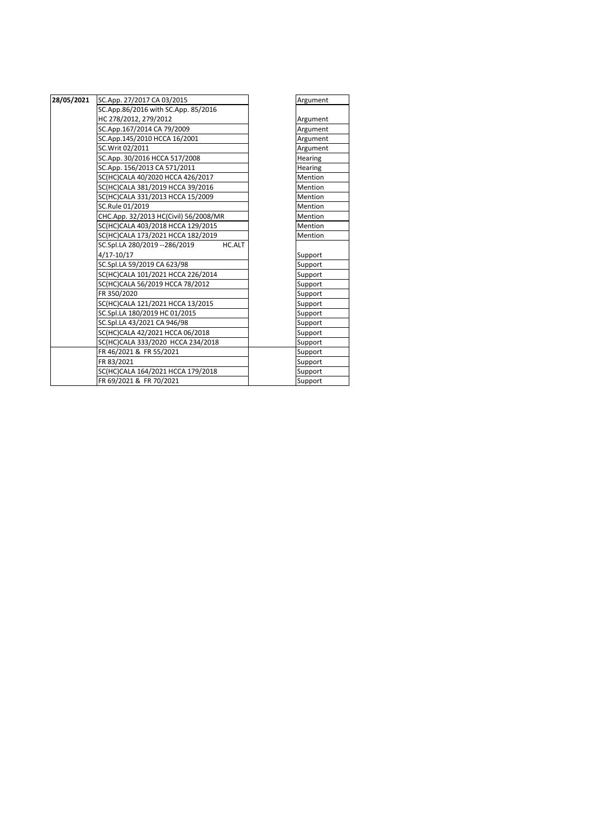| 28/05/2021 | SC.App. 27/2017 CA 03/2015               | Argument       |
|------------|------------------------------------------|----------------|
|            | SC.App.86/2016 with SC.App. 85/2016      |                |
|            | HC 278/2012, 279/2012                    | Argument       |
|            | SC.App.167/2014 CA 79/2009               | Argument       |
|            | SC.App.145/2010 HCCA 16/2001             | Argument       |
|            | SC.Writ 02/2011                          | Argument       |
|            | SC.App. 30/2016 HCCA 517/2008            | Hearing        |
|            | SC.App. 156/2013 CA 571/2011             | Hearing        |
|            | SC(HC)CALA 40/2020 HCCA 426/2017         | Mention        |
|            | SC(HC)CALA 381/2019 HCCA 39/2016         | Mention        |
|            | SC(HC)CALA 331/2013 HCCA 15/2009         | Mention        |
|            | SC.Rule 01/2019                          | <b>Mention</b> |
|            | CHC.App. 32/2013 HC(Civil) 56/2008/MR    | Mention        |
|            | SC(HC)CALA 403/2018 HCCA 129/2015        | Mention        |
|            | SC(HC)CALA 173/2021 HCCA 182/2019        | Mention        |
|            | HC.ALT<br>SC.Spl.LA 280/2019 -- 286/2019 |                |
|            | $4/17 - 10/17$                           | Support        |
|            | SC.Spl.LA 59/2019 CA 623/98              | Support        |
|            | SC(HC)CALA 101/2021 HCCA 226/2014        | Support        |
|            | SC(HC)CALA 56/2019 HCCA 78/2012          | Support        |
|            | FR 350/2020                              | Support        |
|            | SC(HC)CALA 121/2021 HCCA 13/2015         | Support        |
|            | SC.Spl.LA 180/2019 HC 01/2015            | Support        |
|            | SC.Spl.LA 43/2021 CA 946/98              | Support        |
|            | SC(HC)CALA 42/2021 HCCA 06/2018          | Support        |
|            | SC(HC)CALA 333/2020 HCCA 234/2018        | Support        |
|            | FR 46/2021 & FR 55/2021                  | Support        |
|            | FR 83/2021                               | Support        |
|            | SC(HC)CALA 164/2021 HCCA 179/2018        | Support        |
|            | FR 69/2021 & FR 70/2021                  | Support        |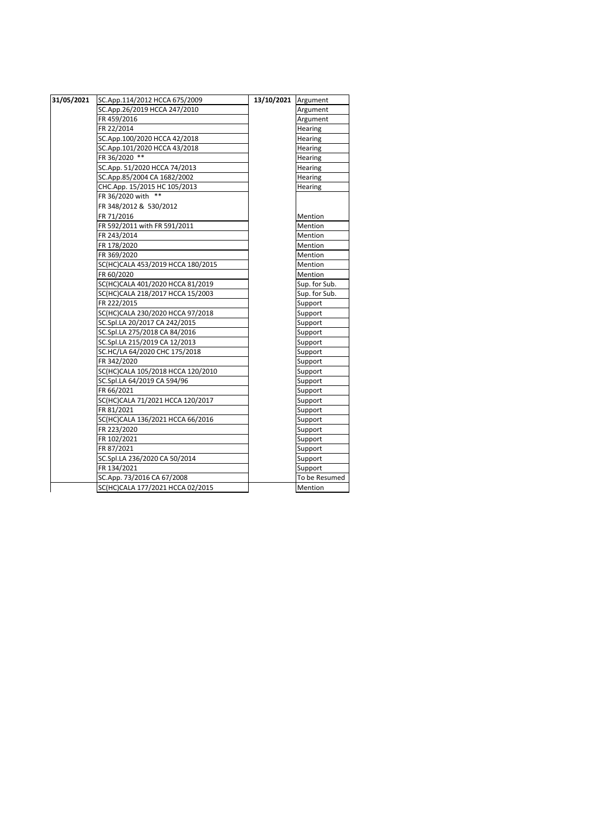| 31/05/2021 | SC.App.114/2012 HCCA 675/2009     | 13/10/2021 Argument |               |
|------------|-----------------------------------|---------------------|---------------|
|            | SC.App.26/2019 HCCA 247/2010      |                     | Argument      |
|            | FR 459/2016                       |                     | Argument      |
|            | FR 22/2014                        |                     | Hearing       |
|            | SC.App.100/2020 HCCA 42/2018      |                     | Hearing       |
|            | SC.App.101/2020 HCCA 43/2018      |                     | Hearing       |
|            | FR 36/2020 **                     |                     | Hearing       |
|            | SC.App. 51/2020 HCCA 74/2013      |                     | Hearing       |
|            | SC.App.85/2004 CA 1682/2002       |                     | Hearing       |
|            | CHC.App. 15/2015 HC 105/2013      |                     | Hearing       |
|            | FR 36/2020 with **                |                     |               |
|            | FR 348/2012 & 530/2012            |                     |               |
|            | FR 71/2016                        |                     | Mention       |
|            | FR 592/2011 with FR 591/2011      |                     | Mention       |
|            | FR 243/2014                       |                     | Mention       |
|            | FR 178/2020                       |                     | Mention       |
|            | FR 369/2020                       |                     | Mention       |
|            | SC(HC)CALA 453/2019 HCCA 180/2015 |                     | Mention       |
|            | FR 60/2020                        |                     | Mention       |
|            | SC(HC)CALA 401/2020 HCCA 81/2019  |                     | Sup. for Sub. |
|            | SC(HC)CALA 218/2017 HCCA 15/2003  |                     | Sup. for Sub. |
|            | FR 222/2015                       |                     | Support       |
|            | SC(HC)CALA 230/2020 HCCA 97/2018  |                     | Support       |
|            | SC.Spl.LA 20/2017 CA 242/2015     |                     | Support       |
|            | SC.Spl.LA 275/2018 CA 84/2016     |                     | Support       |
|            | SC.Spl.LA 215/2019 CA 12/2013     |                     | Support       |
|            | SC.HC/LA 64/2020 CHC 175/2018     |                     | Support       |
|            | FR 342/2020                       |                     | Support       |
|            | SC(HC)CALA 105/2018 HCCA 120/2010 |                     | Support       |
|            | SC.Spl.LA 64/2019 CA 594/96       |                     | Support       |
|            | FR 66/2021                        |                     | Support       |
|            | SC(HC)CALA 71/2021 HCCA 120/2017  |                     | Support       |
|            | FR 81/2021                        |                     | Support       |
|            | SC(HC)CALA 136/2021 HCCA 66/2016  |                     | Support       |
|            | FR 223/2020                       |                     | Support       |
|            | FR 102/2021                       |                     | Support       |
|            | FR 87/2021                        |                     | Support       |
|            | SC.Spl.LA 236/2020 CA 50/2014     |                     | Support       |
|            | FR 134/2021                       |                     | Support       |
|            | SC.App. 73/2016 CA 67/2008        |                     | To be Resumed |
|            | SC(HC)CALA 177/2021 HCCA 02/2015  |                     | Mention       |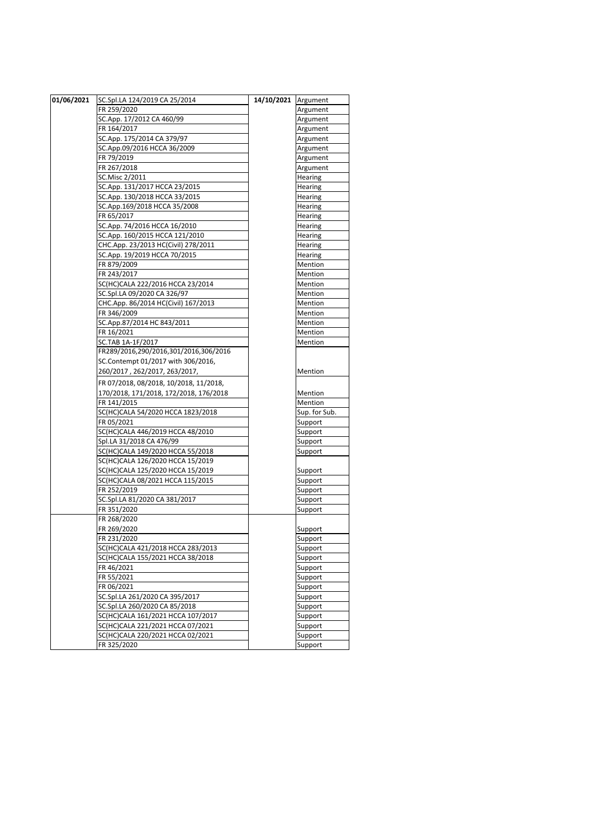| 01/06/2021 | SC.Spl.LA 124/2019 CA 25/2014          | 14/10/2021 | Argument      |
|------------|----------------------------------------|------------|---------------|
|            | FR 259/2020                            |            | Argument      |
|            | SC.App. 17/2012 CA 460/99              |            | Argument      |
|            | FR 164/2017                            |            | Argument      |
|            | SC.App. 175/2014 CA 379/97             |            | Argument      |
|            | SC.App.09/2016 HCCA 36/2009            |            | Argument      |
|            | FR 79/2019                             |            | Argument      |
|            | FR 267/2018                            |            | Argument      |
|            | SC.Misc 2/2011                         |            | Hearing       |
|            | SC.App. 131/2017 HCCA 23/2015          |            | Hearing       |
|            | SC.App. 130/2018 HCCA 33/2015          |            | Hearing       |
|            | SC.App.169/2018 HCCA 35/2008           |            | Hearing       |
|            | FR 65/2017                             |            | Hearing       |
|            | SC.App. 74/2016 HCCA 16/2010           |            | Hearing       |
|            | SC.App. 160/2015 HCCA 121/2010         |            | Hearing       |
|            | CHC.App. 23/2013 HC(Civil) 278/2011    |            | Hearing       |
|            | SC.App. 19/2019 HCCA 70/2015           |            | Hearing       |
|            | FR 879/2009                            |            | Mention       |
|            | FR 243/2017                            |            | Mention       |
|            | SC(HC)CALA 222/2016 HCCA 23/2014       |            | Mention       |
|            | SC.Spl.LA 09/2020 CA 326/97            |            | Mention       |
|            | CHC.App. 86/2014 HC(Civil) 167/2013    |            | Mention       |
|            | FR 346/2009                            |            | Mention       |
|            | SC.App.87/2014 HC 843/2011             |            | Mention       |
|            | FR 16/2021                             |            | Mention       |
|            | SC.TAB 1A-1F/2017                      |            | Mention       |
|            | FR289/2016,290/2016,301/2016,306/2016  |            |               |
|            | SC.Contempt 01/2017 with 306/2016,     |            |               |
|            | 260/2017, 262/2017, 263/2017,          |            | Mention       |
|            | FR 07/2018, 08/2018, 10/2018, 11/2018, |            |               |
|            | 170/2018, 171/2018, 172/2018, 176/2018 |            | Mention       |
|            | FR 141/2015                            |            | Mention       |
|            | SC(HC)CALA 54/2020 HCCA 1823/2018      |            | Sup. for Sub. |
|            | FR 05/2021                             |            | Support       |
|            | SC(HC)CALA 446/2019 HCCA 48/2010       |            | Support       |
|            | Spl.LA 31/2018 CA 476/99               |            | Support       |
|            | SC(HC)CALA 149/2020 HCCA 55/2018       |            | Support       |
|            | SC(HC)CALA 126/2020 HCCA 15/2019       |            |               |
|            | SC(HC)CALA 125/2020 HCCA 15/2019       |            | Support       |
|            | SC(HC)CALA 08/2021 HCCA 115/2015       |            | Support       |
|            | FR 252/2019                            |            | Support       |
|            | SC.Spl.LA 81/2020 CA 381/2017          |            | Support       |
|            | FR 351/2020                            |            | Support       |
|            | FR 268/2020                            |            |               |
|            | FR 269/2020                            |            | Support       |
|            | FR 231/2020                            |            | Support       |
|            | SC(HC)CALA 421/2018 HCCA 283/2013      |            | Support       |
|            | SC(HC)CALA 155/2021 HCCA 38/2018       |            | Support       |
|            | FR 46/2021                             |            | Support       |
|            | FR 55/2021                             |            | Support       |
|            | FR 06/2021                             |            | Support       |
|            | SC.Spl.LA 261/2020 CA 395/2017         |            | Support       |
|            | SC.Spl.LA 260/2020 CA 85/2018          |            | Support       |
|            | SC(HC)CALA 161/2021 HCCA 107/2017      |            | Support       |
|            | SC(HC)CALA 221/2021 HCCA 07/2021       |            | Support       |
|            | SC(HC)CALA 220/2021 HCCA 02/2021       |            | Support       |
|            | FR 325/2020                            |            | Support       |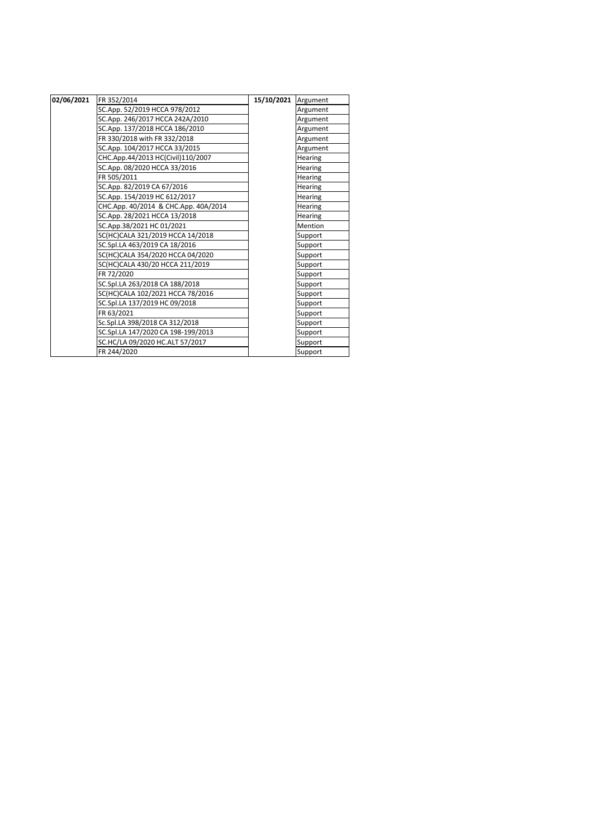| 02/06/2021 | FR 352/2014                          | 15/10/2021 | Argument       |
|------------|--------------------------------------|------------|----------------|
|            | SC.App. 52/2019 HCCA 978/2012        |            | Argument       |
|            | SC.App. 246/2017 HCCA 242A/2010      |            | Argument       |
|            | SC.App. 137/2018 HCCA 186/2010       |            | Argument       |
|            | FR 330/2018 with FR 332/2018         |            | Argument       |
|            | SC.App. 104/2017 HCCA 33/2015        |            | Argument       |
|            | CHC.App.44/2013 HC(Civil)110/2007    |            | <b>Hearing</b> |
|            | SC.App. 08/2020 HCCA 33/2016         |            | Hearing        |
|            | FR 505/2011                          |            | Hearing        |
|            | SC.App. 82/2019 CA 67/2016           |            | Hearing        |
|            | SC.App. 154/2019 HC 612/2017         |            | Hearing        |
|            | CHC.App. 40/2014 & CHC.App. 40A/2014 |            | Hearing        |
|            | SC.App. 28/2021 HCCA 13/2018         |            | <b>Hearing</b> |
|            | SC.App.38/2021 HC 01/2021            |            | Mention        |
|            | SC(HC)CALA 321/2019 HCCA 14/2018     |            | Support        |
|            | SC.Spl.LA 463/2019 CA 18/2016        |            | Support        |
|            | SC(HC)CALA 354/2020 HCCA 04/2020     |            | Support        |
|            | SC(HC)CALA 430/20 HCCA 211/2019      |            | Support        |
|            | FR 72/2020                           |            | Support        |
|            | SC.Spl.LA 263/2018 CA 188/2018       |            | Support        |
|            | SC(HC)CALA 102/2021 HCCA 78/2016     |            | Support        |
|            | SC.Spl.LA 137/2019 HC 09/2018        |            | Support        |
|            | FR 63/2021                           |            | Support        |
|            | Sc.Spl.LA 398/2018 CA 312/2018       |            | Support        |
|            | SC.Spl.LA 147/2020 CA 198-199/2013   |            | Support        |
|            | SC.HC/LA 09/2020 HC.ALT 57/2017      |            | Support        |
|            | FR 244/2020                          |            | Support        |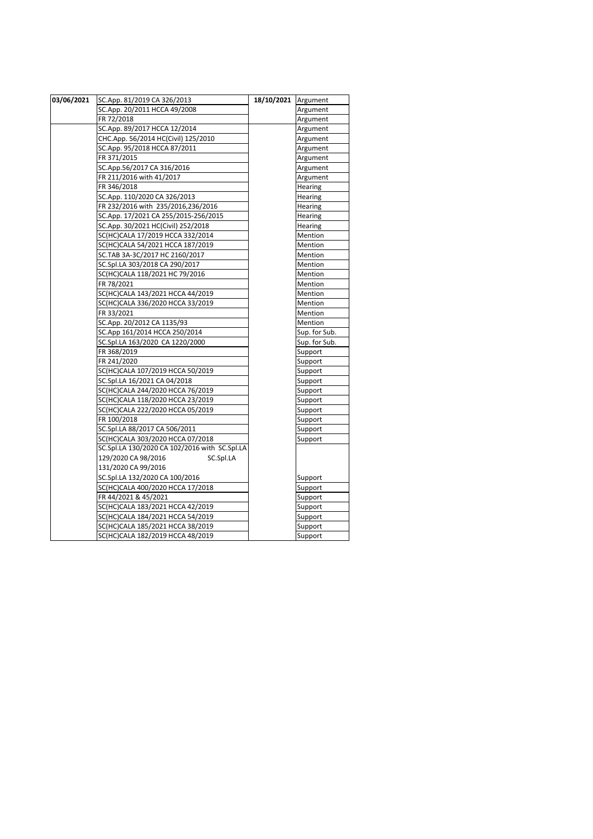| 03/06/2021 | SC.App. 81/2019 CA 326/2013                   | 18/10/2021 Argument |                |
|------------|-----------------------------------------------|---------------------|----------------|
|            | SC.App. 20/2011 HCCA 49/2008                  |                     | Argument       |
|            | FR 72/2018                                    |                     | Argument       |
|            | SC.App. 89/2017 HCCA 12/2014                  |                     | Argument       |
|            | CHC.App. 56/2014 HC(Civil) 125/2010           |                     | Argument       |
|            | SC.App. 95/2018 HCCA 87/2011                  |                     | Argument       |
|            | FR 371/2015                                   |                     | Argument       |
|            | SC.App.56/2017 CA 316/2016                    |                     | Argument       |
|            | FR 211/2016 with 41/2017                      |                     | Argument       |
|            | FR 346/2018                                   |                     | Hearing        |
|            | SC.App. 110/2020 CA 326/2013                  |                     | <b>Hearing</b> |
|            | FR 232/2016 with 235/2016,236/2016            |                     | Hearing        |
|            | SC.App. 17/2021 CA 255/2015-256/2015          |                     | Hearing        |
|            | SC.App. 30/2021 HC(Civil) 252/2018            |                     | Hearing        |
|            | SC(HC)CALA 17/2019 HCCA 332/2014              |                     | Mention        |
|            | SC(HC)CALA 54/2021 HCCA 187/2019              |                     | Mention        |
|            | SC.TAB 3A-3C/2017 HC 2160/2017                |                     | Mention        |
|            | SC.Spl.LA 303/2018 CA 290/2017                |                     | Mention        |
|            | SC(HC)CALA 118/2021 HC 79/2016                |                     | Mention        |
|            | FR 78/2021                                    |                     | Mention        |
|            | SC(HC)CALA 143/2021 HCCA 44/2019              |                     | Mention        |
|            | SC(HC)CALA 336/2020 HCCA 33/2019              |                     | Mention        |
|            | FR 33/2021                                    |                     | Mention        |
|            | SC.App. 20/2012 CA 1135/93                    |                     | Mention        |
|            | SC.App 161/2014 HCCA 250/2014                 |                     | Sup. for Sub.  |
|            | SC.Spl.LA 163/2020 CA 1220/2000               |                     | Sup. for Sub.  |
|            | FR 368/2019                                   |                     | Support        |
|            | FR 241/2020                                   |                     | Support        |
|            | SC(HC)CALA 107/2019 HCCA 50/2019              |                     | Support        |
|            | SC.Spl.LA 16/2021 CA 04/2018                  |                     | Support        |
|            | SC(HC)CALA 244/2020 HCCA 76/2019              |                     | Support        |
|            | SC(HC)CALA 118/2020 HCCA 23/2019              |                     | Support        |
|            | SC(HC)CALA 222/2020 HCCA 05/2019              |                     | Support        |
|            | FR 100/2018                                   |                     | Support        |
|            | SC.Spl.LA 88/2017 CA 506/2011                 |                     | Support        |
|            | SC(HC)CALA 303/2020 HCCA 07/2018              |                     | Support        |
|            | SC.Spl.LA 130/2020 CA 102/2016 with SC.Spl.LA |                     |                |
|            | 129/2020 CA 98/2016<br>SC.Spl.LA              |                     |                |
|            | 131/2020 CA 99/2016                           |                     |                |
|            | SC.Spl.LA 132/2020 CA 100/2016                |                     | Support        |
|            | SC(HC)CALA 400/2020 HCCA 17/2018              |                     | Support        |
|            | FR 44/2021 & 45/2021                          |                     | Support        |
|            | SC(HC)CALA 183/2021 HCCA 42/2019              |                     | Support        |
|            | SC(HC)CALA 184/2021 HCCA 54/2019              |                     | Support        |
|            | SC(HC)CALA 185/2021 HCCA 38/2019              |                     | Support        |
|            | SC(HC)CALA 182/2019 HCCA 48/2019              |                     | Support        |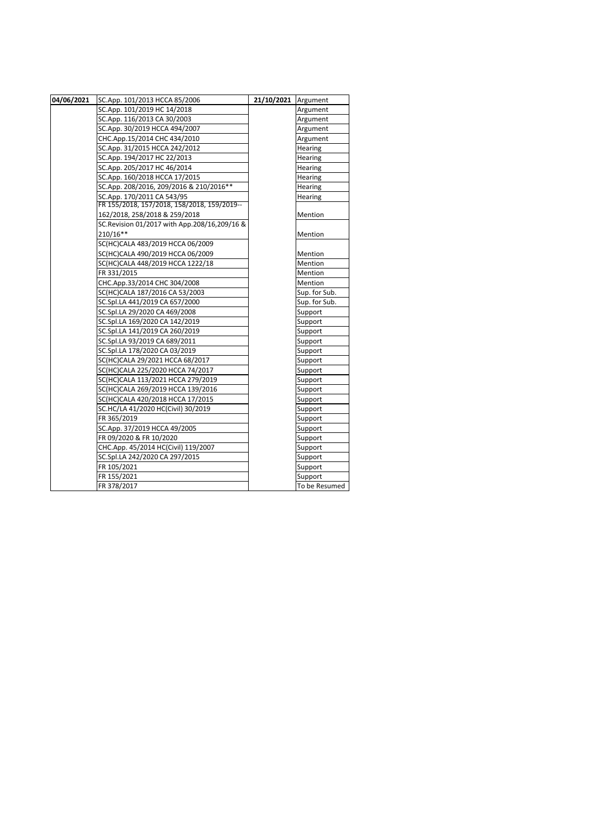| 04/06/2021 | SC.App. 101/2013 HCCA 85/2006                   | 21/10/2021 Argument |               |
|------------|-------------------------------------------------|---------------------|---------------|
|            | SC.App. 101/2019 HC 14/2018                     |                     | Argument      |
|            | SC.App. 116/2013 CA 30/2003                     |                     | Argument      |
|            | SC.App. 30/2019 HCCA 494/2007                   |                     | Argument      |
|            | CHC.App.15/2014 CHC 434/2010                    |                     | Argument      |
|            | SC.App. 31/2015 HCCA 242/2012                   |                     | Hearing       |
|            | SC.App. 194/2017 HC 22/2013                     |                     | Hearing       |
|            | SC.App. 205/2017 HC 46/2014                     |                     | Hearing       |
|            | SC.App. 160/2018 HCCA 17/2015                   |                     | Hearing       |
|            | SC.App. 208/2016, 209/2016 & 210/2016**         |                     | Hearing       |
|            | SC.App. 170/2011 CA 543/95                      |                     | Hearing       |
|            | FR 155/2018, 157/2018, 158/2018, 159/2019--     |                     |               |
|            | 162/2018, 258/2018 & 259/2018                   |                     | Mention       |
|            | SC. Revision 01/2017 with App. 208/16, 209/16 & |                     |               |
|            | 210/16**                                        |                     | Mention       |
|            | SC(HC)CALA 483/2019 HCCA 06/2009                |                     |               |
|            | SC(HC)CALA 490/2019 HCCA 06/2009                |                     | Mention       |
|            | SC(HC)CALA 448/2019 HCCA 1222/18                |                     | Mention       |
|            | FR 331/2015                                     |                     | Mention       |
|            | CHC.App.33/2014 CHC 304/2008                    |                     | Mention       |
|            | SC(HC)CALA 187/2016 CA 53/2003                  |                     | Sup. for Sub. |
|            | SC.Spl.LA 441/2019 CA 657/2000                  |                     | Sup. for Sub. |
|            | SC.Spl.LA 29/2020 CA 469/2008                   |                     | Support       |
|            | SC.Spl.LA 169/2020 CA 142/2019                  |                     | Support       |
|            | SC.Spl.LA 141/2019 CA 260/2019                  |                     | Support       |
|            | SC.Spl.LA 93/2019 CA 689/2011                   |                     | Support       |
|            | SC.Spl.LA 178/2020 CA 03/2019                   |                     | Support       |
|            | SC(HC)CALA 29/2021 HCCA 68/2017                 |                     | Support       |
|            | SC(HC)CALA 225/2020 HCCA 74/2017                |                     | Support       |
|            | SC(HC)CALA 113/2021 HCCA 279/2019               |                     | Support       |
|            | SC(HC)CALA 269/2019 HCCA 139/2016               |                     | Support       |
|            | SC(HC)CALA 420/2018 HCCA 17/2015                |                     | Support       |
|            | SC.HC/LA 41/2020 HC(Civil) 30/2019              |                     | Support       |
|            | FR 365/2019                                     |                     | Support       |
|            | SC.App. 37/2019 HCCA 49/2005                    |                     | Support       |
|            | FR 09/2020 & FR 10/2020                         |                     | Support       |
|            | CHC.App. 45/2014 HC(Civil) 119/2007             |                     | Support       |
|            | SC.Spl.LA 242/2020 CA 297/2015                  |                     | Support       |
|            | FR 105/2021                                     |                     | Support       |
|            | FR 155/2021                                     |                     | Support       |
|            | FR 378/2017                                     |                     | To be Resumed |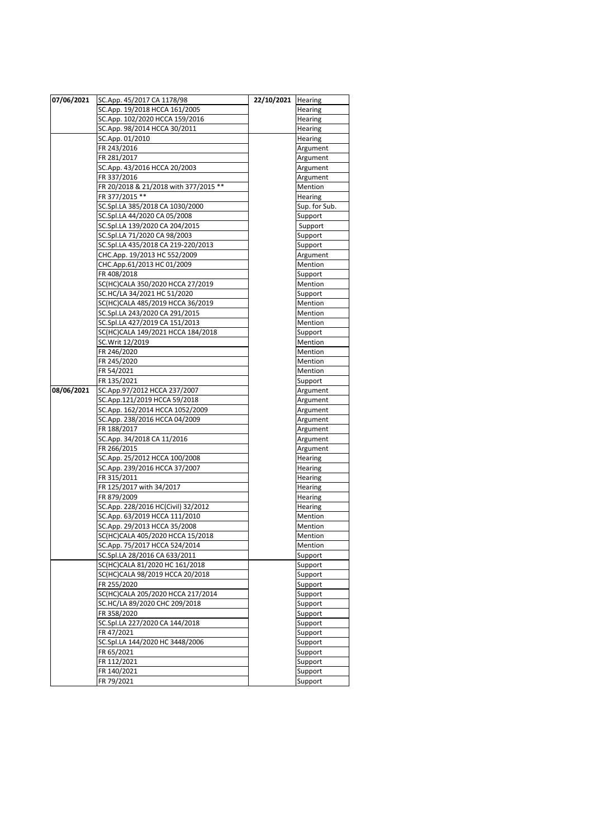| 07/06/2021 | SC.App. 45/2017 CA 1178/98            | 22/10/2021 | Hearing            |
|------------|---------------------------------------|------------|--------------------|
|            | SC.App. 19/2018 HCCA 161/2005         |            | Hearing            |
|            | SC.App. 102/2020 HCCA 159/2016        |            | Hearing            |
|            | SC.App. 98/2014 HCCA 30/2011          |            | Hearing            |
|            | SC.App. 01/2010                       |            | Hearing            |
|            | FR 243/2016                           |            | Argument           |
|            | FR 281/2017                           |            | Argument           |
|            | SC.App. 43/2016 HCCA 20/2003          |            | Argument           |
|            | FR 337/2016                           |            | Argument           |
|            | FR 20/2018 & 21/2018 with 377/2015 ** |            | Mention            |
|            | FR 377/2015 **                        |            | Hearing            |
|            | SC.Spl.LA 385/2018 CA 1030/2000       |            | Sup. for Sub.      |
|            | SC.Spl.LA 44/2020 CA 05/2008          |            | Support            |
|            | SC.Spl.LA 139/2020 CA 204/2015        |            | Support            |
|            | SC.Spl.LA 71/2020 CA 98/2003          |            | Support            |
|            | SC.Spl.LA 435/2018 CA 219-220/2013    |            | Support            |
|            | CHC.App. 19/2013 HC 552/2009          |            | Argument           |
|            | CHC.App.61/2013 HC 01/2009            |            | Mention            |
|            | FR 408/2018                           |            | Support            |
|            | SC(HC)CALA 350/2020 HCCA 27/2019      |            | Mention            |
|            | SC.HC/LA 34/2021 HC 51/2020           |            | Support            |
|            | SC(HC)CALA 485/2019 HCCA 36/2019      |            | Mention            |
|            | SC.Spl.LA 243/2020 CA 291/2015        |            | Mention            |
|            | SC.Spl.LA 427/2019 CA 151/2013        |            | Mention            |
|            | SC(HC)CALA 149/2021 HCCA 184/2018     |            | Support            |
|            | SC.Writ 12/2019                       |            | Mention            |
|            | FR 246/2020                           |            | Mention            |
|            | FR 245/2020                           |            | Mention            |
|            | FR 54/2021                            |            | Mention            |
|            | FR 135/2021                           |            | Support            |
| 08/06/2021 | SC.App.97/2012 HCCA 237/2007          |            | Argument           |
|            | SC.App.121/2019 HCCA 59/2018          |            | Argument           |
|            | SC.App. 162/2014 HCCA 1052/2009       |            | Argument           |
|            | SC.App. 238/2016 HCCA 04/2009         |            | Argument           |
|            | FR 188/2017                           |            | Argument           |
|            | SC.App. 34/2018 CA 11/2016            |            | Argument           |
|            | FR 266/2015                           |            | Argument           |
|            | SC.App. 25/2012 HCCA 100/2008         |            | Hearing            |
|            | SC.App. 239/2016 HCCA 37/2007         |            | Hearing            |
|            | FR 315/2011                           |            | Hearing            |
|            | FR 125/2017 with 34/2017              |            | Hearing            |
|            | FR 879/2009                           |            | Hearing            |
|            | SC.App. 228/2016 HC(Civil) 32/2012    |            | Hearing            |
|            | SC.App. 63/2019 HCCA 111/2010         |            | Mention            |
|            | SC.App. 29/2013 HCCA 35/2008          |            | Mention            |
|            | SC(HC)CALA 405/2020 HCCA 15/2018      |            | Mention            |
|            | SC.App. 75/2017 HCCA 524/2014         |            | Mention            |
|            | SC.Spl.LA 28/2016 CA 633/2011         |            | Support            |
|            | SC(HC)CALA 81/2020 HC 161/2018        |            | Support            |
|            | SC(HC)CALA 98/2019 HCCA 20/2018       |            | Support            |
|            | FR 255/2020                           |            | Support            |
|            | SC(HC)CALA 205/2020 HCCA 217/2014     |            | Support            |
|            | SC.HC/LA 89/2020 CHC 209/2018         |            | Support            |
|            | FR 358/2020                           |            | Support            |
|            | SC.Spl.LA 227/2020 CA 144/2018        |            | Support            |
|            | FR 47/2021                            |            | Support            |
|            | SC.Spl.LA 144/2020 HC 3448/2006       |            | Support            |
|            | FR 65/2021                            |            |                    |
|            | FR 112/2021                           |            | Support<br>Support |
|            |                                       |            |                    |
|            | FR 140/2021<br>FR 79/2021             |            | Support            |
|            |                                       |            | Support            |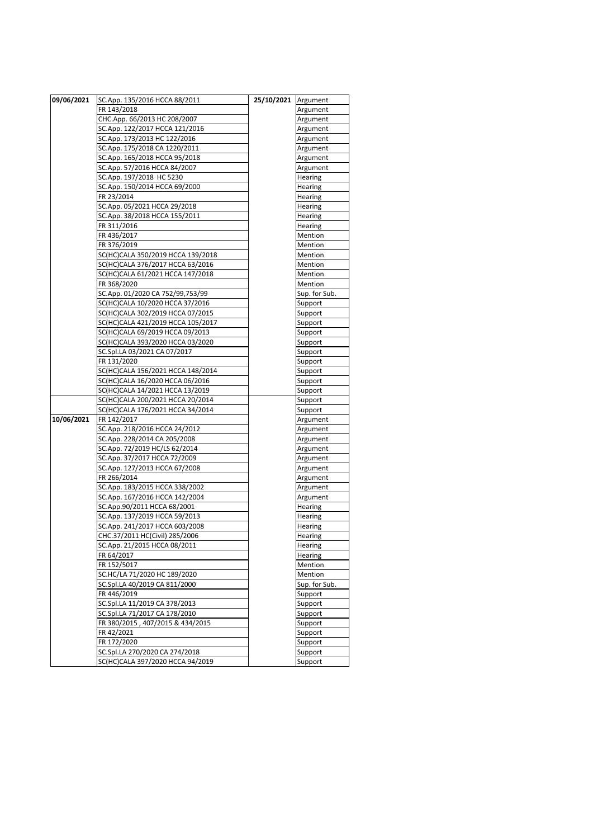| 09/06/2021 | SC.App. 135/2016 HCCA 88/2011                   | 25/10/2021 Argument |                    |
|------------|-------------------------------------------------|---------------------|--------------------|
|            | FR 143/2018                                     |                     | Argument           |
|            | CHC.App. 66/2013 HC 208/2007                    |                     | Argument           |
|            | SC.App. 122/2017 HCCA 121/2016                  |                     | Argument           |
|            | SC.App. 173/2013 HC 122/2016                    |                     | Argument           |
|            | SC.App. 175/2018 CA 1220/2011                   |                     | Argument           |
|            | SC.App. 165/2018 HCCA 95/2018                   |                     | Argument           |
|            | SC.App. 57/2016 HCCA 84/2007                    |                     | Argument           |
|            | SC.App. 197/2018 HC 5230                        |                     | Hearing            |
|            | SC.App. 150/2014 HCCA 69/2000                   |                     | Hearing            |
|            | FR 23/2014                                      |                     | Hearing            |
|            | SC.App. 05/2021 HCCA 29/2018                    |                     | Hearing            |
|            | SC.App. 38/2018 HCCA 155/2011                   |                     | Hearing            |
|            | FR 311/2016                                     |                     | Hearing            |
|            | FR 436/2017                                     |                     | Mention            |
|            | FR 376/2019                                     |                     | Mention            |
|            | SC(HC)CALA 350/2019 HCCA 139/2018               |                     | Mention            |
|            |                                                 |                     | Mention            |
|            | SC(HC)CALA 376/2017 HCCA 63/2016                |                     | Mention            |
|            | SC(HC)CALA 61/2021 HCCA 147/2018<br>FR 368/2020 |                     | Mention            |
|            | SC.App. 01/2020 CA 752/99,753/99                |                     | Sup. for Sub.      |
|            | SC(HC)CALA 10/2020 HCCA 37/2016                 |                     | Support            |
|            | SC(HC)CALA 302/2019 HCCA 07/2015                |                     | Support            |
|            | SC(HC)CALA 421/2019 HCCA 105/2017               |                     | Support            |
|            | SC(HC)CALA 69/2019 HCCA 09/2013                 |                     |                    |
|            | SC(HC)CALA 393/2020 HCCA 03/2020                |                     | Support<br>Support |
|            | SC.Spl.LA 03/2021 CA 07/2017                    |                     | Support            |
|            | FR 131/2020                                     |                     | Support            |
|            | SC(HC)CALA 156/2021 HCCA 148/2014               |                     | Support            |
|            | SC(HC)CALA 16/2020 HCCA 06/2016                 |                     | Support            |
|            | SC(HC)CALA 14/2021 HCCA 13/2019                 |                     | Support            |
|            | SC(HC)CALA 200/2021 HCCA 20/2014                |                     | Support            |
|            | SC(HC)CALA 176/2021 HCCA 34/2014                |                     | Support            |
| 10/06/2021 | FR 142/2017                                     |                     | Argument           |
|            | SC.App. 218/2016 HCCA 24/2012                   |                     | Argument           |
|            | SC.App. 228/2014 CA 205/2008                    |                     | Argument           |
|            | SC.App. 72/2019 HC/LS 62/2014                   |                     | Argument           |
|            | SC.App. 37/2017 HCCA 72/2009                    |                     | Argument           |
|            | SC.App. 127/2013 HCCA 67/2008                   |                     | Argument           |
|            | FR 266/2014                                     |                     | Argument           |
|            | SC.App. 183/2015 HCCA 338/2002                  |                     | Argument           |
|            | SC.App. 167/2016 HCCA 142/2004                  |                     | Argument           |
|            | SC.App.90/2011 HCCA 68/2001                     |                     | Hearing            |
|            | SC.App. 137/2019 HCCA 59/2013                   |                     | Hearing            |
|            | SC.App. 241/2017 HCCA 603/2008                  |                     | Hearing            |
|            | CHC.37/2011 HC(Civil) 285/2006                  |                     | Hearing            |
|            | SC.App. 21/2015 HCCA 08/2011                    |                     | Hearing            |
|            | FR 64/2017                                      |                     | Hearing            |
|            | FR 152/5017                                     |                     | Mention            |
|            | SC.HC/LA 71/2020 HC 189/2020                    |                     | Mention            |
|            | SC.Spl.LA 40/2019 CA 811/2000                   |                     | Sup. for Sub.      |
|            | FR 446/2019                                     |                     | Support            |
|            | SC.Spl.LA 11/2019 CA 378/2013                   |                     | Support            |
|            | SC.Spl.LA 71/2017 CA 178/2010                   |                     | Support            |
|            | FR 380/2015, 407/2015 & 434/2015                |                     | Support            |
|            | FR 42/2021                                      |                     | Support            |
|            | FR 172/2020                                     |                     | Support            |
|            | SC.Spl.LA 270/2020 CA 274/2018                  |                     | Support            |
|            | SC(HC)CALA 397/2020 HCCA 94/2019                |                     | Support            |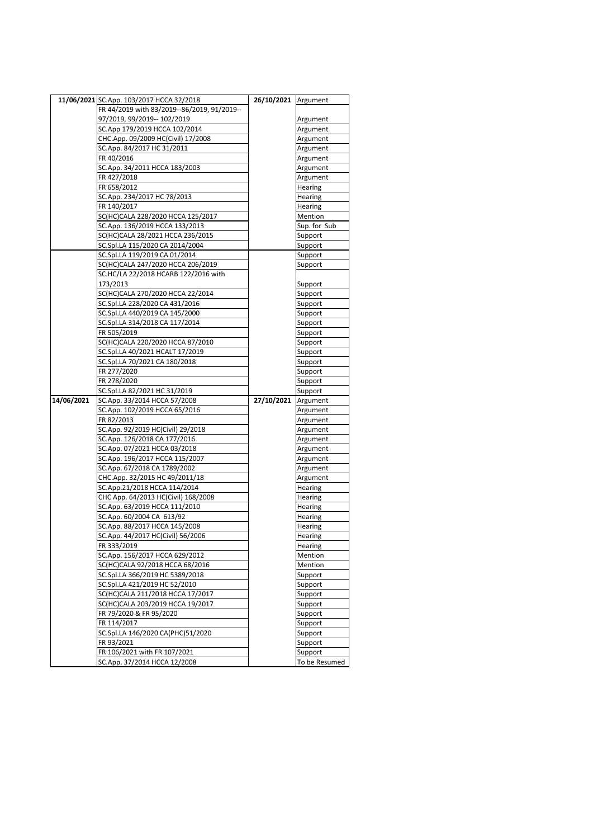|            | 11/06/2021 SC.App. 103/2017 HCCA 32/2018    | 26/10/2021 Argument |               |
|------------|---------------------------------------------|---------------------|---------------|
|            | FR 44/2019 with 83/2019--86/2019, 91/2019-- |                     |               |
|            | 97/2019, 99/2019-- 102/2019                 |                     | Argument      |
|            | SC.App 179/2019 HCCA 102/2014               |                     | Argument      |
|            | CHC.App. 09/2009 HC(Civil) 17/2008          |                     | Argument      |
|            | SC.App. 84/2017 HC 31/2011                  |                     | Argument      |
|            | FR 40/2016                                  |                     | Argument      |
|            | SC.App. 34/2011 HCCA 183/2003               |                     | Argument      |
|            | FR 427/2018                                 |                     | Argument      |
|            | FR 658/2012                                 |                     | Hearing       |
|            | SC.App. 234/2017 HC 78/2013                 |                     | Hearing       |
|            | FR 140/2017                                 |                     | Hearing       |
|            | SC(HC)CALA 228/2020 HCCA 125/2017           |                     | Mention       |
|            | SC.App. 136/2019 HCCA 133/2013              |                     | Sup. for Sub  |
|            | SC(HC)CALA 28/2021 HCCA 236/2015            |                     | Support       |
|            | SC.Spl.LA 115/2020 CA 2014/2004             |                     | Support       |
|            | SC.Spl.LA 119/2019 CA 01/2014               |                     | Support       |
|            | SC(HC)CALA 247/2020 HCCA 206/2019           |                     | Support       |
|            | SC.HC/LA 22/2018 HCARB 122/2016 with        |                     |               |
|            | 173/2013                                    |                     | Support       |
|            | SC(HC)CALA 270/2020 HCCA 22/2014            |                     | Support       |
|            | SC.Spl.LA 228/2020 CA 431/2016              |                     | Support       |
|            | SC.Spl.LA 440/2019 CA 145/2000              |                     | Support       |
|            | SC.Spl.LA 314/2018 CA 117/2014              |                     | Support       |
|            | FR 505/2019                                 |                     | Support       |
|            | SC(HC)CALA 220/2020 HCCA 87/2010            |                     | Support       |
|            | SC.Spl.LA 40/2021 HCALT 17/2019             |                     | Support       |
|            | SC.Spl.LA 70/2021 CA 180/2018               |                     | Support       |
|            | FR 277/2020                                 |                     | Support       |
|            | FR 278/2020                                 |                     | Support       |
|            | SC.Spl.LA 82/2021 HC 31/2019                |                     | Support       |
| 14/06/2021 | SC.App. 33/2014 HCCA 57/2008                | 27/10/2021          | Argument      |
|            | SC.App. 102/2019 HCCA 65/2016               |                     |               |
|            | FR 82/2013                                  |                     | Argument      |
|            | SC.App. 92/2019 HC(Civil) 29/2018           |                     | Argument      |
|            | SC.App. 126/2018 CA 177/2016                |                     | Argument      |
|            |                                             |                     | Argument      |
|            | SC.App. 07/2021 HCCA 03/2018                |                     | Argument      |
|            | SC.App. 196/2017 HCCA 115/2007              |                     | Argument      |
|            | SC.App. 67/2018 CA 1789/2002                |                     | Argument      |
|            | CHC.App. 32/2015 HC 49/2011/18              |                     | Argument      |
|            | SC.App.21/2018 HCCA 114/2014                |                     | Hearing       |
|            | CHC App. 64/2013 HC(Civil) 168/2008         |                     | Hearing       |
|            | SC.App. 63/2019 HCCA 111/2010               |                     | Hearing       |
|            | SC.App. 60/2004 CA 613/92                   |                     | Hearing       |
|            | SC.App. 88/2017 HCCA 145/2008               |                     | Hearing       |
|            | SC.App. 44/2017 HC(Civil) 56/2006           |                     | Hearing       |
|            | FR 333/2019                                 |                     | Hearing       |
|            | SC.App. 156/2017 HCCA 629/2012              |                     | Mention       |
|            | SC(HC)CALA 92/2018 HCCA 68/2016             |                     | Mention       |
|            | SC.Spl.LA 366/2019 HC 5389/2018             |                     | Support       |
|            | SC.Spl.LA 421/2019 HC 52/2010               |                     | Support       |
|            | SC(HC)CALA 211/2018 HCCA 17/2017            |                     | Support       |
|            | SC(HC)CALA 203/2019 HCCA 19/2017            |                     | Support       |
|            | FR 79/2020 & FR 95/2020                     |                     | Support       |
|            | FR 114/2017                                 |                     | Support       |
|            | SC.Spl.LA 146/2020 CA(PHC)51/2020           |                     | Support       |
|            | FR 93/2021                                  |                     | Support       |
|            | FR 106/2021 with FR 107/2021                |                     | Support       |
|            | SC.App. 37/2014 HCCA 12/2008                |                     | To be Resumed |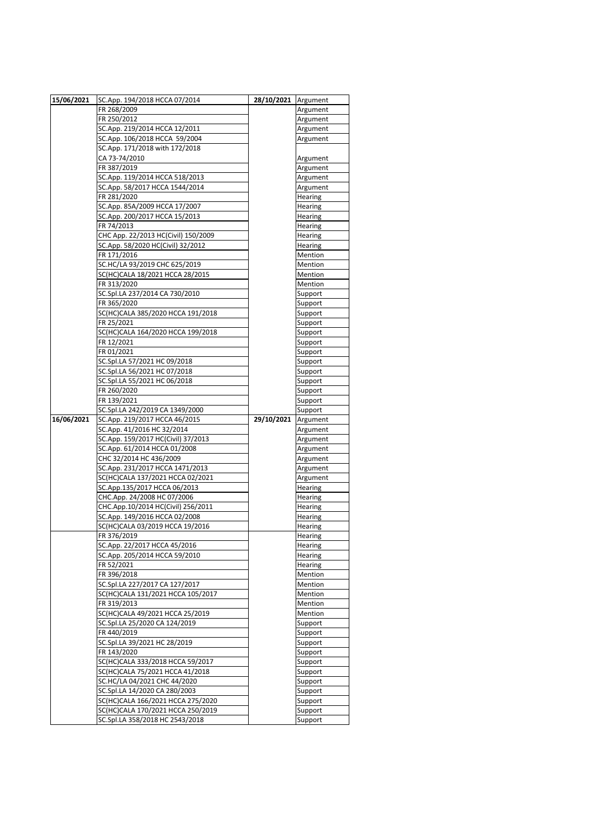| 15/06/2021 | SC.App. 194/2018 HCCA 07/2014                                        | 28/10/2021 | Argument           |
|------------|----------------------------------------------------------------------|------------|--------------------|
|            | FR 268/2009                                                          |            | Argument           |
|            | FR 250/2012                                                          |            | Argument           |
|            | SC.App. 219/2014 HCCA 12/2011                                        |            | Argument           |
|            | SC.App. 106/2018 HCCA 59/2004                                        |            | Argument           |
|            | SC.App. 171/2018 with 172/2018                                       |            |                    |
|            | CA 73-74/2010                                                        |            | Argument           |
|            | FR 387/2019                                                          |            | Argument           |
|            | SC.App. 119/2014 HCCA 518/2013                                       |            | Argument           |
|            | SC.App. 58/2017 HCCA 1544/2014                                       |            | Argument           |
|            | FR 281/2020                                                          |            | Hearing            |
|            | SC.App. 85A/2009 HCCA 17/2007                                        |            | Hearing            |
|            | SC.App. 200/2017 HCCA 15/2013                                        |            | Hearing            |
|            | FR 74/2013                                                           |            | Hearing            |
|            | CHC App. 22/2013 HC(Civil) 150/2009                                  |            | Hearing            |
|            | SC.App. 58/2020 HC(Civil) 32/2012                                    |            | Hearing            |
|            | FR 171/2016                                                          |            | Mention            |
|            | SC.HC/LA 93/2019 CHC 625/2019                                        |            | Mention            |
|            | SC(HC)CALA 18/2021 HCCA 28/2015                                      |            | Mention            |
|            | FR 313/2020                                                          |            | Mention            |
|            | SC.Spl.LA 237/2014 CA 730/2010                                       |            | Support            |
|            | FR 365/2020                                                          |            | Support            |
|            | SC(HC)CALA 385/2020 HCCA 191/2018                                    |            | Support            |
|            | FR 25/2021                                                           |            | Support            |
|            | SC(HC)CALA 164/2020 HCCA 199/2018                                    |            | Support            |
|            | FR 12/2021                                                           |            | Support            |
|            | FR 01/2021                                                           |            | Support            |
|            | SC.Spl.LA 57/2021 HC 09/2018                                         |            | Support            |
|            | SC.Spl.LA 56/2021 HC 07/2018                                         |            | Support            |
|            | SC.Spl.LA 55/2021 HC 06/2018                                         |            | Support            |
|            | FR 260/2020                                                          |            | Support            |
|            | FR 139/2021                                                          |            | Support            |
|            | SC.Spl.LA 242/2019 CA 1349/2000                                      |            | Support            |
| 16/06/2021 | SC.App. 219/2017 HCCA 46/2015                                        | 29/10/2021 | Argument           |
|            | SC.App. 41/2016 HC 32/2014                                           |            | Argument           |
|            | SC.App. 159/2017 HC(Civil) 37/2013                                   |            | Argument           |
|            | SC.App. 61/2014 HCCA 01/2008                                         |            | Argument           |
|            | CHC 32/2014 HC 436/2009                                              |            | Argument           |
|            | SC.App. 231/2017 HCCA 1471/2013                                      |            | Argument           |
|            | SC(HC)CALA 137/2021 HCCA 02/2021                                     |            | Argument           |
|            | SC.App.135/2017 HCCA 06/2013                                         |            | Hearing            |
|            | CHC.App. 24/2008 HC 07/2006                                          |            | Hearing            |
|            | CHC.App.10/2014 HC(Civil) 256/2011                                   |            | Hearing            |
|            | SC.App. 149/2016 HCCA 02/2008                                        |            | Hearing            |
|            | SC(HC)CALA 03/2019 HCCA 19/2016                                      |            | Hearing            |
|            | FR 376/2019                                                          |            | Hearing            |
|            | SC.App. 22/2017 HCCA 45/2016                                         |            | Hearing            |
|            | SC.App. 205/2014 HCCA 59/2010                                        |            | Hearing            |
|            | FR 52/2021                                                           |            | Hearing            |
|            | FR 396/2018                                                          |            | Mention            |
|            | SC.Spl.LA 227/2017 CA 127/2017                                       |            | Mention            |
|            | SC(HC)CALA 131/2021 HCCA 105/2017                                    |            | Mention            |
|            | FR 319/2013                                                          |            | Mention            |
|            | SC(HC)CALA 49/2021 HCCA 25/2019                                      |            | Mention            |
|            | SC.Spl.LA 25/2020 CA 124/2019                                        |            | Support            |
|            | FR 440/2019                                                          |            | Support            |
|            | SC.Spl.LA 39/2021 HC 28/2019                                         |            | Support            |
|            | FR 143/2020                                                          |            | Support            |
|            | SC(HC)CALA 333/2018 HCCA 59/2017                                     |            | Support            |
|            | SC(HC)CALA 75/2021 HCCA 41/2018                                      |            | Support            |
|            | SC.HC/LA 04/2021 CHC 44/2020                                         |            | Support            |
|            |                                                                      |            |                    |
|            | SC.Spl.LA 14/2020 CA 280/2003                                        |            | Support            |
|            | SC(HC)CALA 166/2021 HCCA 275/2020                                    |            | Support            |
|            | SC(HC)CALA 170/2021 HCCA 250/2019<br>SC.Spl.LA 358/2018 HC 2543/2018 |            | Support<br>Support |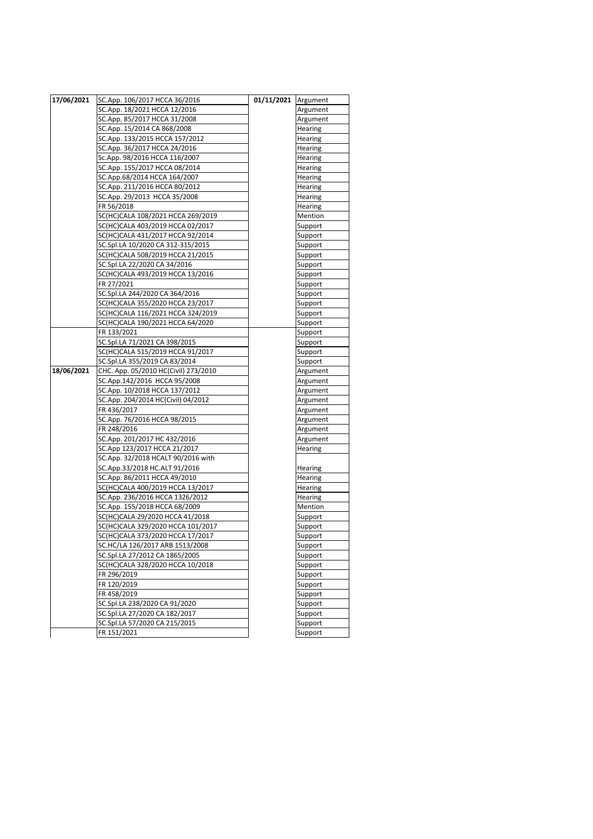| 17/06/2021 | SC.App. 106/2017 HCCA 36/2016        | 01/11/2021 Argument |          |
|------------|--------------------------------------|---------------------|----------|
|            | SC.App. 18/2021 HCCA 12/2016         |                     | Argument |
|            | SC.App. 85/2017 HCCA 31/2008         |                     | Argument |
|            | SC.App. 15/2014 CA 868/2008          |                     | Hearing  |
|            | SC.App. 133/2015 HCCA 157/2012       |                     | Hearing  |
|            | SC.App. 36/2017 HCCA 24/2016         |                     | Hearing  |
|            | Sc.App. 98/2016 HCCA 116/2007        |                     | Hearing  |
|            | SC.App. 155/2017 HCCA 08/2014        |                     | Hearing  |
|            | SC.App.68/2014 HCCA 164/2007         |                     | Hearing  |
|            | SC.App. 211/2016 HCCA 80/2012        |                     | Hearing  |
|            | SC.App. 29/2013 HCCA 35/2008         |                     | Hearing  |
|            | FR 56/2018                           |                     | Hearing  |
|            | SC(HC)CALA 108/2021 HCCA 269/2019    |                     | Mention  |
|            | SC(HC)CALA 403/2019 HCCA 02/2017     |                     | Support  |
|            | SC(HC)CALA 431/2017 HCCA 92/2014     |                     | Support  |
|            | SC.Spl.LA 10/2020 CA 312-315/2015    |                     | Support  |
|            | SC(HC)CALA 508/2019 HCCA 21/2015     |                     | Support  |
|            | SC.Spl.LA 22/2020 CA 34/2016         |                     | Support  |
|            | SC(HC)CALA 493/2019 HCCA 13/2016     |                     | Support  |
|            | FR 27/2021                           |                     | Support  |
|            | SC.Spl.LA 244/2020 CA 364/2016       |                     | Support  |
|            | SC(HC)CALA 355/2020 HCCA 23/2017     |                     | Support  |
|            | SC(HC)CALA 116/2021 HCCA 324/2019    |                     | Support  |
|            | SC(HC)CALA 190/2021 HCCA 64/2020     |                     | Support  |
|            | FR 133/2021                          |                     | Support  |
|            | SC.Spl.LA 71/2021 CA 398/2015        |                     | Support  |
|            | SC(HC)CALA 515/2019 HCCA 91/2017     |                     | Support  |
|            | SC.Spl.LA 355/2019 CA 83/2014        |                     | Support  |
| 18/06/2021 | CHC. App. 05/2010 HC(Civil) 273/2010 |                     | Argument |
|            | SC.App.142/2016 HCCA 95/2008         |                     | Argument |
|            | SC.App. 10/2018 HCCA 137/2012        |                     | Argument |
|            | SC.App. 204/2014 HC(Civil) 04/2012   |                     | Argument |
|            | FR 436/2017                          |                     | Argument |
|            | SC.App. 76/2016 HCCA 98/2015         |                     | Argument |
|            | FR 248/2016                          |                     | Argument |
|            | SC.App. 201/2017 HC 432/2016         |                     | Argument |
|            | SC.App 123/2017 HCCA 21/2017         |                     | Hearing  |
|            | SC.App. 32/2018 HCALT 90/2016 with   |                     |          |
|            | SC.App.33/2018 HC.ALT 91/2016        |                     | Hearing  |
|            | SC.App. 86/2011 HCCA 49/2010         |                     | Hearing  |
|            | SC(HC)CALA 400/2019 HCCA 13/2017     |                     | Hearing  |
|            | SC.App. 236/2016 HCCA 1326/2012      |                     | Hearing  |
|            | SC.App. 155/2018 HCCA 68/2009        |                     | Mention  |
|            | SC(HC)CALA 29/2020 HCCA 41/2018      |                     | Support  |
|            | SC(HC)CALA 329/2020 HCCA 101/2017    |                     | Support  |
|            | SC(HC)CALA 373/2020 HCCA 17/2017     |                     | Support  |
|            | SC.HC/LA 126/2017 ARB 1513/2008      |                     | Support  |
|            | SC.Spl.LA 27/2012 CA 1865/2005       |                     | Support  |
|            | SC(HC)CALA 328/2020 HCCA 10/2018     |                     | Support  |
|            | FR 296/2019                          |                     | Support  |
|            | FR 120/2019                          |                     | Support  |
|            | FR 458/2019                          |                     | Support  |
|            | SC.Spl.LA 238/2020 CA 91/2020        |                     | Support  |
|            | SC.Spl.LA 27/2020 CA 182/2017        |                     | Support  |
|            | SC.Spl.LA 57/2020 CA 215/2015        |                     | Support  |
|            | FR 151/2021                          |                     | Support  |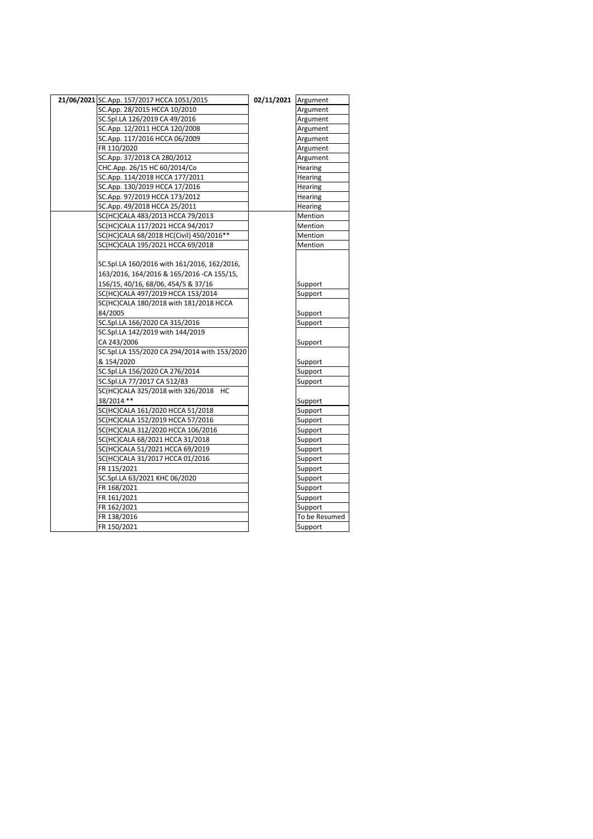|  | 21/06/2021 SC.App. 157/2017 HCCA 1051/2015   | 02/11/2021 | Argument      |
|--|----------------------------------------------|------------|---------------|
|  | SC.App. 28/2015 HCCA 10/2010                 |            | Argument      |
|  | SC.Spl.LA 126/2019 CA 49/2016                |            | Argument      |
|  | SC.App. 12/2011 HCCA 120/2008                |            | Argument      |
|  | SC.App. 117/2016 HCCA 06/2009                |            | Argument      |
|  | FR 110/2020                                  |            | Argument      |
|  | SC.App. 37/2018 CA 280/2012                  |            | Argument      |
|  | CHC.App. 26/15 HC 60/2014/Co                 |            | Hearing       |
|  | SC.App. 114/2018 HCCA 177/2011               |            | Hearing       |
|  | SC.App. 130/2019 HCCA 17/2016                |            | Hearing       |
|  | SC.App. 97/2019 HCCA 173/2012                |            | Hearing       |
|  | SC.App. 49/2018 HCCA 25/2011                 |            | Hearing       |
|  | SC(HC)CALA 483/2013 HCCA 79/2013             |            | Mention       |
|  | SC(HC)CALA 117/2021 HCCA 94/2017             |            | Mention       |
|  | SC(HC)CALA 68/2018 HC(Civil) 450/2016**      |            | Mention       |
|  | SC(HC)CALA 195/2021 HCCA 69/2018             |            | Mention       |
|  |                                              |            |               |
|  | SC.Spl.LA 160/2016 with 161/2016, 162/2016,  |            |               |
|  | 163/2016, 164/2016 & 165/2016 - CA 155/15,   |            |               |
|  | 156/15, 40/16, 68/06, 454/5 & 37/16          |            | Support       |
|  | SC(HC)CALA 497/2019 HCCA 153/2014            |            | Support       |
|  | SC(HC)CALA 180/2018 with 181/2018 HCCA       |            |               |
|  | 84/2005                                      |            | Support       |
|  | SC.Spl.LA 166/2020 CA 315/2016               |            | Support       |
|  | SC.Spl.LA 142/2019 with 144/2019             |            |               |
|  | CA 243/2006                                  |            | Support       |
|  | SC.Spl.LA 155/2020 CA 294/2014 with 153/2020 |            |               |
|  | & 154/2020                                   |            | Support       |
|  | SC.Spl.LA 156/2020 CA 276/2014               |            | Support       |
|  | SC.Spl.LA 77/2017 CA 512/83                  |            | Support       |
|  | SC(HC)CALA 325/2018 with 326/2018 HC         |            |               |
|  | 38/2014 **                                   |            | Support       |
|  | SC(HC)CALA 161/2020 HCCA 51/2018             |            | Support       |
|  | SC(HC)CALA 152/2019 HCCA 57/2016             |            | Support       |
|  | SC(HC)CALA 312/2020 HCCA 106/2016            |            | Support       |
|  | SC(HC)CALA 68/2021 HCCA 31/2018              |            | Support       |
|  | SC(HC)CALA 51/2021 HCCA 69/2019              |            | Support       |
|  | SC(HC)CALA 31/2017 HCCA 01/2016              |            | Support       |
|  | FR 115/2021                                  |            | Support       |
|  | SC.Spl.LA 63/2021 KHC 06/2020                |            | Support       |
|  | FR 168/2021                                  |            | Support       |
|  | FR 161/2021                                  |            | Support       |
|  | FR 162/2021                                  |            | Support       |
|  | FR 138/2016                                  |            | To be Resumed |
|  | FR 150/2021                                  |            | Support       |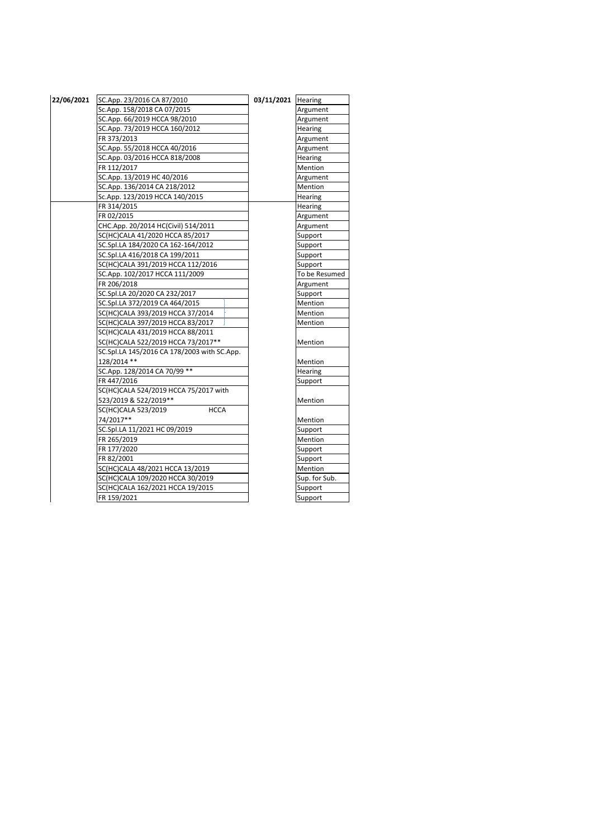| 22/06/2021 | SC.App. 23/2016 CA 87/2010                  | 03/11/2021 Hearing |                |
|------------|---------------------------------------------|--------------------|----------------|
|            | Sc.App. 158/2018 CA 07/2015                 |                    | Argument       |
|            | SC.App. 66/2019 HCCA 98/2010                |                    | Argument       |
|            | SC.App. 73/2019 HCCA 160/2012               |                    | Hearing        |
|            | FR 373/2013                                 |                    | Argument       |
|            | SC.App. 55/2018 HCCA 40/2016                |                    | Argument       |
|            | SC.App. 03/2016 HCCA 818/2008               |                    | <b>Hearing</b> |
|            | FR 112/2017                                 |                    | <b>Mention</b> |
|            | SC.App. 13/2019 HC 40/2016                  |                    | Argument       |
|            | SC.App. 136/2014 CA 218/2012                |                    | Mention        |
|            | Sc.App. 123/2019 HCCA 140/2015              |                    | Hearing        |
|            | FR 314/2015                                 |                    | <b>Hearing</b> |
|            | FR 02/2015                                  |                    | Argument       |
|            | CHC.App. 20/2014 HC(Civil) 514/2011         |                    | Argument       |
|            | SC(HC)CALA 41/2020 HCCA 85/2017             |                    | Support        |
|            | SC.Spl.LA 184/2020 CA 162-164/2012          |                    | Support        |
|            | SC.Spl.LA 416/2018 CA 199/2011              |                    | Support        |
|            | SC(HC)CALA 391/2019 HCCA 112/2016           |                    | Support        |
|            | SC.App. 102/2017 HCCA 111/2009              |                    | To be Resumed  |
|            | FR 206/2018                                 |                    | Argument       |
|            | SC.Spl.LA 20/2020 CA 232/2017               |                    | Support        |
|            | SC.Spl.LA 372/2019 CA 464/2015              |                    | Mention        |
|            | SC(HC)CALA 393/2019 HCCA 37/2014            |                    | <b>Mention</b> |
|            | SC(HC)CALA 397/2019 HCCA 83/2017            |                    | Mention        |
|            | SC(HC)CALA 431/2019 HCCA 88/2011            |                    |                |
|            | SC(HC)CALA 522/2019 HCCA 73/2017**          |                    | Mention        |
|            | SC.Spl.LA 145/2016 CA 178/2003 with SC.App. |                    |                |
|            | 128/2014 **                                 |                    | Mention        |
|            | SC.App. 128/2014 CA 70/99 **                |                    | Hearing        |
|            | FR 447/2016                                 |                    | Support        |
|            | SC(HC)CALA 524/2019 HCCA 75/2017 with       |                    |                |
|            | 523/2019 & 522/2019**                       |                    | Mention        |
|            | SC(HC)CALA 523/2019<br><b>HCCA</b>          |                    |                |
|            | 74/2017**                                   |                    | Mention        |
|            | SC.Spl.LA 11/2021 HC 09/2019                |                    | Support        |
|            | FR 265/2019                                 |                    | Mention        |
|            | FR 177/2020                                 |                    | Support        |
|            | FR 82/2001                                  |                    | Support        |
|            | SC(HC)CALA 48/2021 HCCA 13/2019             |                    | Mention        |
|            | SC(HC)CALA 109/2020 HCCA 30/2019            |                    | Sup. for Sub.  |
|            | SC(HC)CALA 162/2021 HCCA 19/2015            |                    | Support        |
|            | FR 159/2021                                 |                    | Support        |